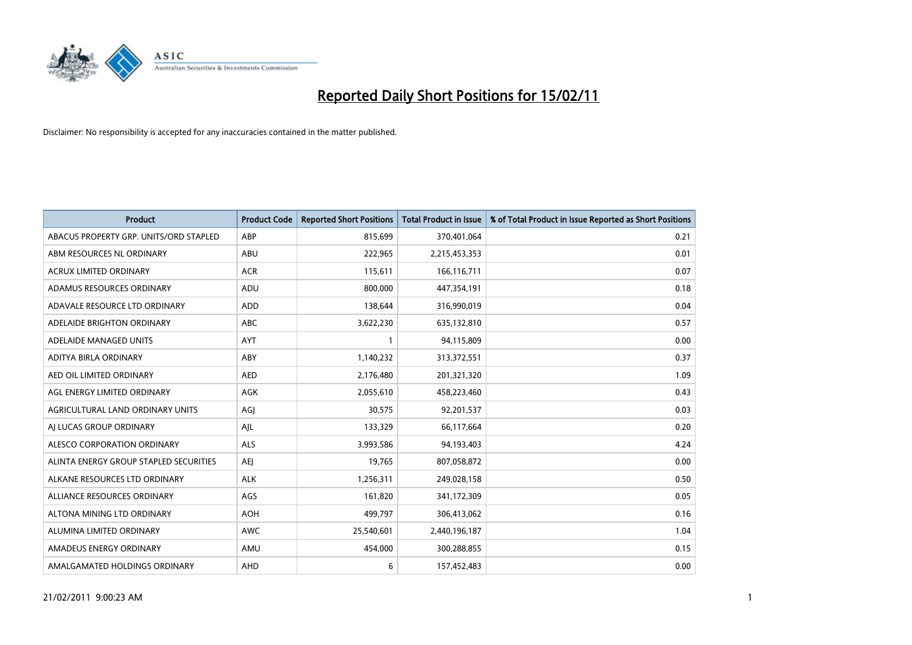

| Product                                | <b>Product Code</b> | <b>Reported Short Positions</b> | <b>Total Product in Issue</b> | % of Total Product in Issue Reported as Short Positions |
|----------------------------------------|---------------------|---------------------------------|-------------------------------|---------------------------------------------------------|
| ABACUS PROPERTY GRP. UNITS/ORD STAPLED | ABP                 | 815,699                         | 370,401,064                   | 0.21                                                    |
| ABM RESOURCES NL ORDINARY              | ABU                 | 222,965                         | 2,215,453,353                 | 0.01                                                    |
| ACRUX LIMITED ORDINARY                 | <b>ACR</b>          | 115,611                         | 166,116,711                   | 0.07                                                    |
| ADAMUS RESOURCES ORDINARY              | ADU                 | 800,000                         | 447,354,191                   | 0.18                                                    |
| ADAVALE RESOURCE LTD ORDINARY          | <b>ADD</b>          | 138,644                         | 316,990,019                   | 0.04                                                    |
| ADELAIDE BRIGHTON ORDINARY             | <b>ABC</b>          | 3,622,230                       | 635,132,810                   | 0.57                                                    |
| ADELAIDE MANAGED UNITS                 | <b>AYT</b>          |                                 | 94,115,809                    | 0.00                                                    |
| ADITYA BIRLA ORDINARY                  | ABY                 | 1,140,232                       | 313,372,551                   | 0.37                                                    |
| AED OIL LIMITED ORDINARY               | <b>AED</b>          | 2,176,480                       | 201,321,320                   | 1.09                                                    |
| AGL ENERGY LIMITED ORDINARY            | AGK                 | 2,055,610                       | 458,223,460                   | 0.43                                                    |
| AGRICULTURAL LAND ORDINARY UNITS       | AGI                 | 30,575                          | 92,201,537                    | 0.03                                                    |
| AI LUCAS GROUP ORDINARY                | AJL                 | 133,329                         | 66,117,664                    | 0.20                                                    |
| ALESCO CORPORATION ORDINARY            | ALS                 | 3,993,586                       | 94,193,403                    | 4.24                                                    |
| ALINTA ENERGY GROUP STAPLED SECURITIES | <b>AEI</b>          | 19,765                          | 807,058,872                   | 0.00                                                    |
| ALKANE RESOURCES LTD ORDINARY          | <b>ALK</b>          | 1,256,311                       | 249,028,158                   | 0.50                                                    |
| ALLIANCE RESOURCES ORDINARY            | AGS                 | 161,820                         | 341,172,309                   | 0.05                                                    |
| ALTONA MINING LTD ORDINARY             | <b>AOH</b>          | 499,797                         | 306,413,062                   | 0.16                                                    |
| ALUMINA LIMITED ORDINARY               | <b>AWC</b>          | 25,540,601                      | 2,440,196,187                 | 1.04                                                    |
| AMADEUS ENERGY ORDINARY                | AMU                 | 454,000                         | 300,288,855                   | 0.15                                                    |
| AMALGAMATED HOLDINGS ORDINARY          | <b>AHD</b>          | 6                               | 157,452,483                   | 0.00                                                    |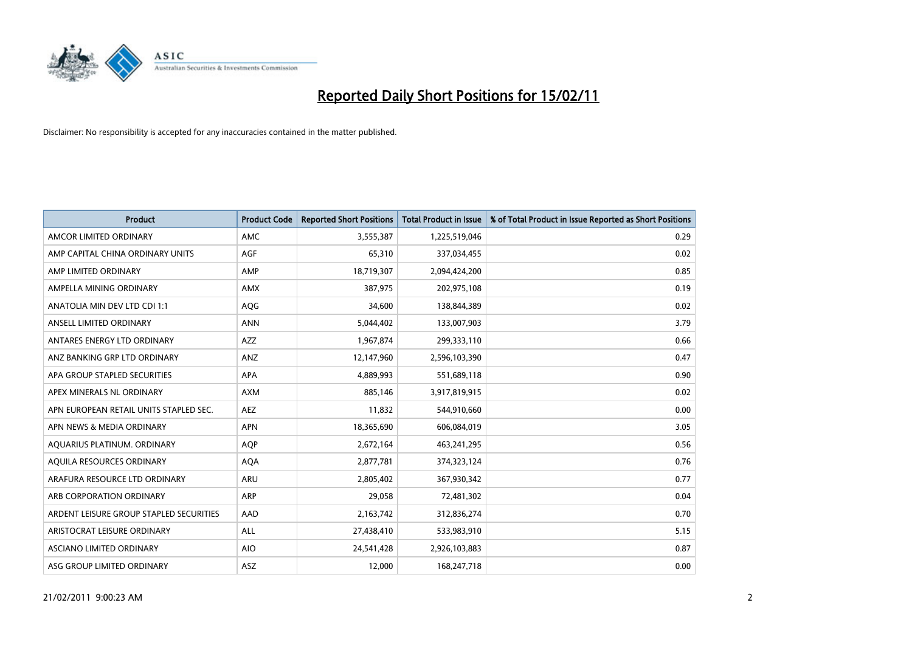

| Product                                 | <b>Product Code</b> | <b>Reported Short Positions</b> | <b>Total Product in Issue</b> | % of Total Product in Issue Reported as Short Positions |
|-----------------------------------------|---------------------|---------------------------------|-------------------------------|---------------------------------------------------------|
| AMCOR LIMITED ORDINARY                  | <b>AMC</b>          | 3,555,387                       | 1,225,519,046                 | 0.29                                                    |
| AMP CAPITAL CHINA ORDINARY UNITS        | <b>AGF</b>          | 65,310                          | 337,034,455                   | 0.02                                                    |
| AMP LIMITED ORDINARY                    | AMP                 | 18,719,307                      | 2,094,424,200                 | 0.85                                                    |
| AMPELLA MINING ORDINARY                 | <b>AMX</b>          | 387,975                         | 202,975,108                   | 0.19                                                    |
| ANATOLIA MIN DEV LTD CDI 1:1            | AQG                 | 34,600                          | 138,844,389                   | 0.02                                                    |
| ANSELL LIMITED ORDINARY                 | <b>ANN</b>          | 5,044,402                       | 133,007,903                   | 3.79                                                    |
| ANTARES ENERGY LTD ORDINARY             | AZZ                 | 1,967,874                       | 299,333,110                   | 0.66                                                    |
| ANZ BANKING GRP LTD ORDINARY            | ANZ                 | 12,147,960                      | 2,596,103,390                 | 0.47                                                    |
| APA GROUP STAPLED SECURITIES            | <b>APA</b>          | 4,889,993                       | 551,689,118                   | 0.90                                                    |
| APEX MINERALS NL ORDINARY               | <b>AXM</b>          | 885.146                         | 3,917,819,915                 | 0.02                                                    |
| APN EUROPEAN RETAIL UNITS STAPLED SEC.  | <b>AEZ</b>          | 11,832                          | 544,910,660                   | 0.00                                                    |
| APN NEWS & MEDIA ORDINARY               | <b>APN</b>          | 18,365,690                      | 606,084,019                   | 3.05                                                    |
| AQUARIUS PLATINUM. ORDINARY             | <b>AOP</b>          | 2,672,164                       | 463,241,295                   | 0.56                                                    |
| AOUILA RESOURCES ORDINARY               | <b>AQA</b>          | 2,877,781                       | 374,323,124                   | 0.76                                                    |
| ARAFURA RESOURCE LTD ORDINARY           | <b>ARU</b>          | 2,805,402                       | 367,930,342                   | 0.77                                                    |
| ARB CORPORATION ORDINARY                | <b>ARP</b>          | 29,058                          | 72,481,302                    | 0.04                                                    |
| ARDENT LEISURE GROUP STAPLED SECURITIES | AAD                 | 2,163,742                       | 312,836,274                   | 0.70                                                    |
| ARISTOCRAT LEISURE ORDINARY             | <b>ALL</b>          | 27,438,410                      | 533,983,910                   | 5.15                                                    |
| ASCIANO LIMITED ORDINARY                | <b>AIO</b>          | 24,541,428                      | 2,926,103,883                 | 0.87                                                    |
| ASG GROUP LIMITED ORDINARY              | <b>ASZ</b>          | 12,000                          | 168,247,718                   | 0.00                                                    |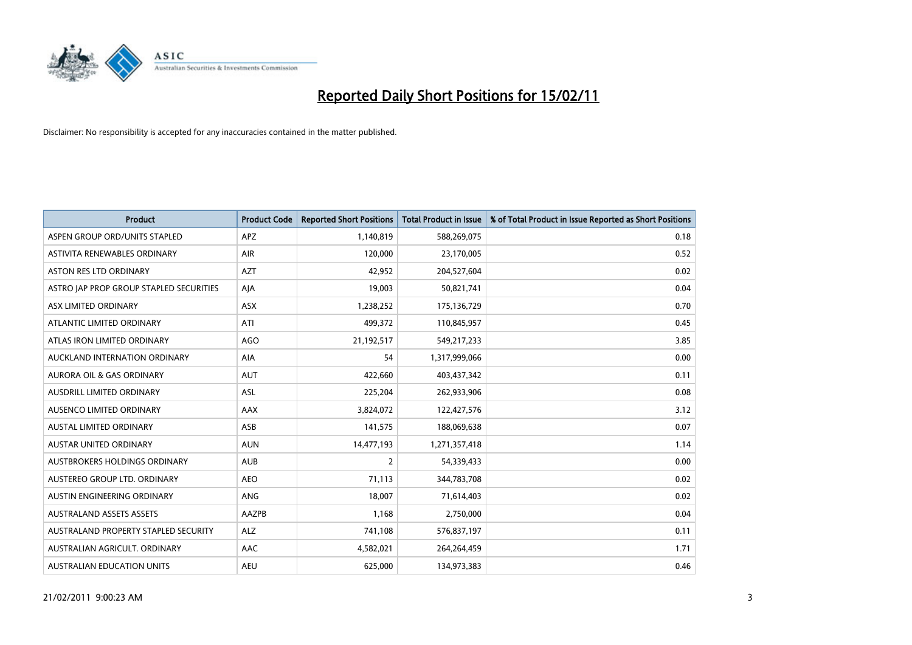

| <b>Product</b>                          | <b>Product Code</b> | <b>Reported Short Positions</b> | Total Product in Issue | % of Total Product in Issue Reported as Short Positions |
|-----------------------------------------|---------------------|---------------------------------|------------------------|---------------------------------------------------------|
| ASPEN GROUP ORD/UNITS STAPLED           | <b>APZ</b>          | 1,140,819                       | 588,269,075            | 0.18                                                    |
| ASTIVITA RENEWABLES ORDINARY            | <b>AIR</b>          | 120.000                         | 23,170,005             | 0.52                                                    |
| <b>ASTON RES LTD ORDINARY</b>           | <b>AZT</b>          | 42,952                          | 204,527,604            | 0.02                                                    |
| ASTRO JAP PROP GROUP STAPLED SECURITIES | AJA                 | 19,003                          | 50,821,741             | 0.04                                                    |
| ASX LIMITED ORDINARY                    | <b>ASX</b>          | 1,238,252                       | 175,136,729            | 0.70                                                    |
| ATLANTIC LIMITED ORDINARY               | ATI                 | 499,372                         | 110,845,957            | 0.45                                                    |
| ATLAS IRON LIMITED ORDINARY             | <b>AGO</b>          | 21,192,517                      | 549,217,233            | 3.85                                                    |
| AUCKLAND INTERNATION ORDINARY           | AIA                 | 54                              | 1,317,999,066          | 0.00                                                    |
| AURORA OIL & GAS ORDINARY               | <b>AUT</b>          | 422,660                         | 403,437,342            | 0.11                                                    |
| AUSDRILL LIMITED ORDINARY               | <b>ASL</b>          | 225,204                         | 262,933,906            | 0.08                                                    |
| AUSENCO LIMITED ORDINARY                | AAX                 | 3,824,072                       | 122,427,576            | 3.12                                                    |
| <b>AUSTAL LIMITED ORDINARY</b>          | ASB                 | 141,575                         | 188,069,638            | 0.07                                                    |
| <b>AUSTAR UNITED ORDINARY</b>           | <b>AUN</b>          | 14,477,193                      | 1,271,357,418          | 1.14                                                    |
| AUSTBROKERS HOLDINGS ORDINARY           | <b>AUB</b>          | $\overline{2}$                  | 54,339,433             | 0.00                                                    |
| AUSTEREO GROUP LTD. ORDINARY            | <b>AEO</b>          | 71,113                          | 344,783,708            | 0.02                                                    |
| AUSTIN ENGINEERING ORDINARY             | <b>ANG</b>          | 18.007                          | 71,614,403             | 0.02                                                    |
| <b>AUSTRALAND ASSETS ASSETS</b>         | AAZPB               | 1,168                           | 2,750,000              | 0.04                                                    |
| AUSTRALAND PROPERTY STAPLED SECURITY    | <b>ALZ</b>          | 741,108                         | 576,837,197            | 0.11                                                    |
| AUSTRALIAN AGRICULT, ORDINARY           | <b>AAC</b>          | 4,582,021                       | 264,264,459            | 1.71                                                    |
| AUSTRALIAN EDUCATION UNITS              | <b>AEU</b>          | 625.000                         | 134,973,383            | 0.46                                                    |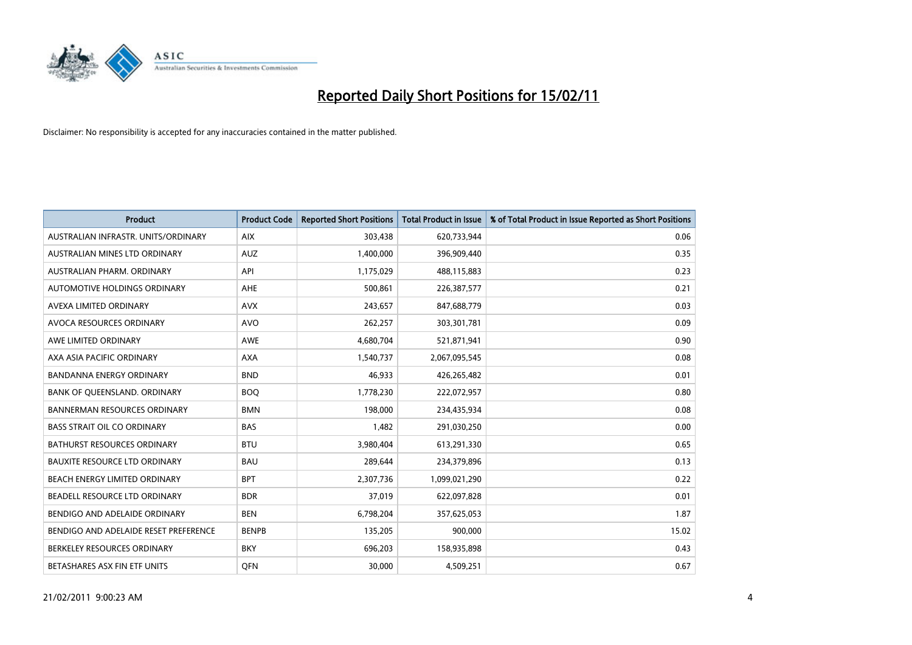

| <b>Product</b>                        | <b>Product Code</b> | <b>Reported Short Positions</b> | <b>Total Product in Issue</b> | % of Total Product in Issue Reported as Short Positions |
|---------------------------------------|---------------------|---------------------------------|-------------------------------|---------------------------------------------------------|
| AUSTRALIAN INFRASTR. UNITS/ORDINARY   | <b>AIX</b>          | 303,438                         | 620,733,944                   | 0.06                                                    |
| AUSTRALIAN MINES LTD ORDINARY         | <b>AUZ</b>          | 1,400,000                       | 396,909,440                   | 0.35                                                    |
| AUSTRALIAN PHARM, ORDINARY            | API                 | 1,175,029                       | 488,115,883                   | 0.23                                                    |
| AUTOMOTIVE HOLDINGS ORDINARY          | AHE                 | 500,861                         | 226,387,577                   | 0.21                                                    |
| AVEXA LIMITED ORDINARY                | <b>AVX</b>          | 243,657                         | 847,688,779                   | 0.03                                                    |
| AVOCA RESOURCES ORDINARY              | <b>AVO</b>          | 262,257                         | 303,301,781                   | 0.09                                                    |
| AWE LIMITED ORDINARY                  | <b>AWE</b>          | 4,680,704                       | 521,871,941                   | 0.90                                                    |
| AXA ASIA PACIFIC ORDINARY             | <b>AXA</b>          | 1,540,737                       | 2,067,095,545                 | 0.08                                                    |
| <b>BANDANNA ENERGY ORDINARY</b>       | <b>BND</b>          | 46,933                          | 426,265,482                   | 0.01                                                    |
| BANK OF QUEENSLAND. ORDINARY          | <b>BOQ</b>          | 1,778,230                       | 222,072,957                   | 0.80                                                    |
| <b>BANNERMAN RESOURCES ORDINARY</b>   | <b>BMN</b>          | 198,000                         | 234,435,934                   | 0.08                                                    |
| <b>BASS STRAIT OIL CO ORDINARY</b>    | <b>BAS</b>          | 1,482                           | 291,030,250                   | 0.00                                                    |
| BATHURST RESOURCES ORDINARY           | <b>BTU</b>          | 3,980,404                       | 613,291,330                   | 0.65                                                    |
| <b>BAUXITE RESOURCE LTD ORDINARY</b>  | <b>BAU</b>          | 289,644                         | 234,379,896                   | 0.13                                                    |
| <b>BEACH ENERGY LIMITED ORDINARY</b>  | <b>BPT</b>          | 2,307,736                       | 1,099,021,290                 | 0.22                                                    |
| BEADELL RESOURCE LTD ORDINARY         | <b>BDR</b>          | 37,019                          | 622,097,828                   | 0.01                                                    |
| BENDIGO AND ADELAIDE ORDINARY         | <b>BEN</b>          | 6,798,204                       | 357,625,053                   | 1.87                                                    |
| BENDIGO AND ADELAIDE RESET PREFERENCE | <b>BENPB</b>        | 135,205                         | 900,000                       | 15.02                                                   |
| BERKELEY RESOURCES ORDINARY           | <b>BKY</b>          | 696,203                         | 158,935,898                   | 0.43                                                    |
| BETASHARES ASX FIN ETF UNITS          | <b>OFN</b>          | 30,000                          | 4,509,251                     | 0.67                                                    |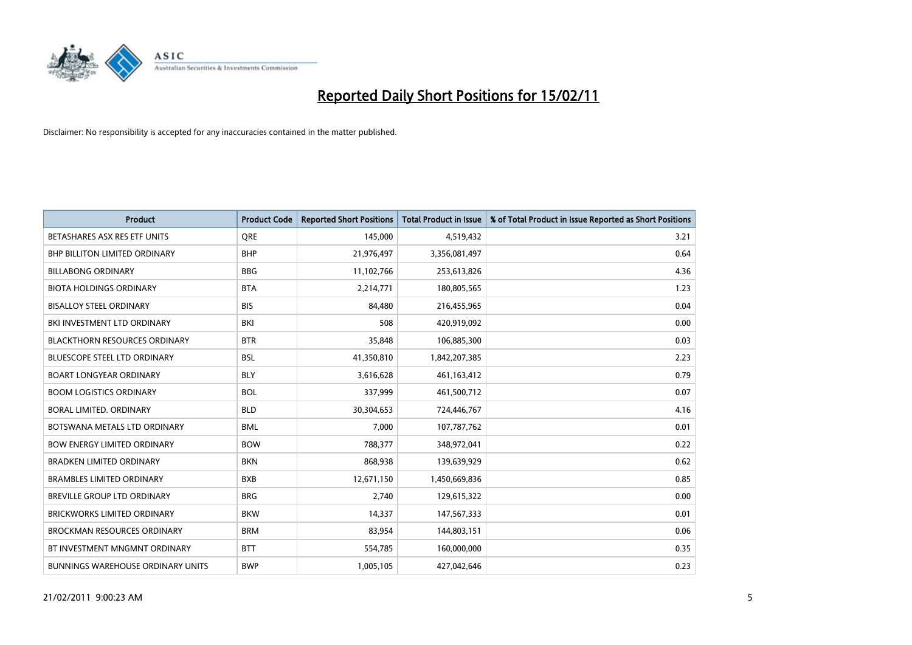

| Product                                  | <b>Product Code</b> | <b>Reported Short Positions</b> | <b>Total Product in Issue</b> | % of Total Product in Issue Reported as Short Positions |
|------------------------------------------|---------------------|---------------------------------|-------------------------------|---------------------------------------------------------|
| BETASHARES ASX RES ETF UNITS             | <b>ORE</b>          | 145,000                         | 4,519,432                     | 3.21                                                    |
| <b>BHP BILLITON LIMITED ORDINARY</b>     | <b>BHP</b>          | 21,976,497                      | 3,356,081,497                 | 0.64                                                    |
| <b>BILLABONG ORDINARY</b>                | <b>BBG</b>          | 11,102,766                      | 253,613,826                   | 4.36                                                    |
| <b>BIOTA HOLDINGS ORDINARY</b>           | <b>BTA</b>          | 2,214,771                       | 180,805,565                   | 1.23                                                    |
| <b>BISALLOY STEEL ORDINARY</b>           | <b>BIS</b>          | 84,480                          | 216,455,965                   | 0.04                                                    |
| BKI INVESTMENT LTD ORDINARY              | BKI                 | 508                             | 420,919,092                   | 0.00                                                    |
| <b>BLACKTHORN RESOURCES ORDINARY</b>     | <b>BTR</b>          | 35,848                          | 106,885,300                   | 0.03                                                    |
| <b>BLUESCOPE STEEL LTD ORDINARY</b>      | <b>BSL</b>          | 41,350,810                      | 1,842,207,385                 | 2.23                                                    |
| <b>BOART LONGYEAR ORDINARY</b>           | <b>BLY</b>          | 3,616,628                       | 461,163,412                   | 0.79                                                    |
| <b>BOOM LOGISTICS ORDINARY</b>           | <b>BOL</b>          | 337,999                         | 461,500,712                   | 0.07                                                    |
| BORAL LIMITED. ORDINARY                  | <b>BLD</b>          | 30,304,653                      | 724,446,767                   | 4.16                                                    |
| BOTSWANA METALS LTD ORDINARY             | <b>BML</b>          | 7,000                           | 107,787,762                   | 0.01                                                    |
| <b>BOW ENERGY LIMITED ORDINARY</b>       | <b>BOW</b>          | 788,377                         | 348,972,041                   | 0.22                                                    |
| <b>BRADKEN LIMITED ORDINARY</b>          | <b>BKN</b>          | 868.938                         | 139,639,929                   | 0.62                                                    |
| <b>BRAMBLES LIMITED ORDINARY</b>         | <b>BXB</b>          | 12,671,150                      | 1,450,669,836                 | 0.85                                                    |
| <b>BREVILLE GROUP LTD ORDINARY</b>       | <b>BRG</b>          | 2,740                           | 129,615,322                   | 0.00                                                    |
| <b>BRICKWORKS LIMITED ORDINARY</b>       | <b>BKW</b>          | 14,337                          | 147,567,333                   | 0.01                                                    |
| BROCKMAN RESOURCES ORDINARY              | <b>BRM</b>          | 83,954                          | 144,803,151                   | 0.06                                                    |
| BT INVESTMENT MNGMNT ORDINARY            | <b>BTT</b>          | 554,785                         | 160,000,000                   | 0.35                                                    |
| <b>BUNNINGS WAREHOUSE ORDINARY UNITS</b> | <b>BWP</b>          | 1,005,105                       | 427,042,646                   | 0.23                                                    |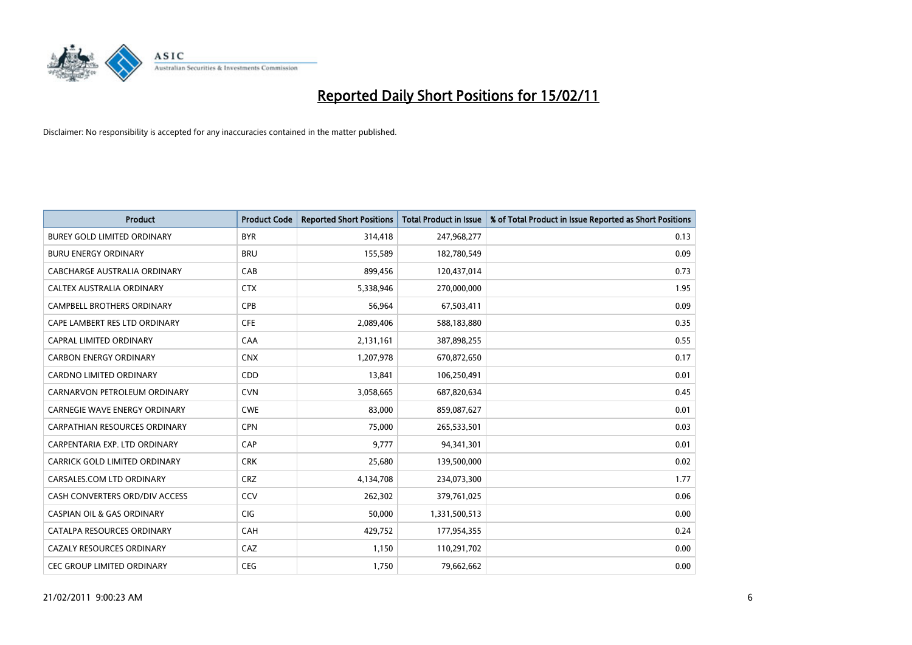

| <b>Product</b>                        | <b>Product Code</b> | <b>Reported Short Positions</b> | <b>Total Product in Issue</b> | % of Total Product in Issue Reported as Short Positions |
|---------------------------------------|---------------------|---------------------------------|-------------------------------|---------------------------------------------------------|
| <b>BUREY GOLD LIMITED ORDINARY</b>    | <b>BYR</b>          | 314,418                         | 247,968,277                   | 0.13                                                    |
| <b>BURU ENERGY ORDINARY</b>           | <b>BRU</b>          | 155,589                         | 182,780,549                   | 0.09                                                    |
| CABCHARGE AUSTRALIA ORDINARY          | CAB                 | 899,456                         | 120,437,014                   | 0.73                                                    |
| CALTEX AUSTRALIA ORDINARY             | <b>CTX</b>          | 5,338,946                       | 270,000,000                   | 1.95                                                    |
| <b>CAMPBELL BROTHERS ORDINARY</b>     | CPB                 | 56,964                          | 67,503,411                    | 0.09                                                    |
| CAPE LAMBERT RES LTD ORDINARY         | <b>CFE</b>          | 2,089,406                       | 588,183,880                   | 0.35                                                    |
| <b>CAPRAL LIMITED ORDINARY</b>        | CAA                 | 2,131,161                       | 387,898,255                   | 0.55                                                    |
| <b>CARBON ENERGY ORDINARY</b>         | <b>CNX</b>          | 1,207,978                       | 670,872,650                   | 0.17                                                    |
| CARDNO LIMITED ORDINARY               | CDD                 | 13,841                          | 106,250,491                   | 0.01                                                    |
| CARNARVON PETROLEUM ORDINARY          | <b>CVN</b>          | 3,058,665                       | 687,820,634                   | 0.45                                                    |
| <b>CARNEGIE WAVE ENERGY ORDINARY</b>  | <b>CWE</b>          | 83,000                          | 859,087,627                   | 0.01                                                    |
| <b>CARPATHIAN RESOURCES ORDINARY</b>  | <b>CPN</b>          | 75,000                          | 265,533,501                   | 0.03                                                    |
| CARPENTARIA EXP. LTD ORDINARY         | CAP                 | 9.777                           | 94,341,301                    | 0.01                                                    |
| CARRICK GOLD LIMITED ORDINARY         | <b>CRK</b>          | 25,680                          | 139,500,000                   | 0.02                                                    |
| CARSALES.COM LTD ORDINARY             | <b>CRZ</b>          | 4,134,708                       | 234,073,300                   | 1.77                                                    |
| CASH CONVERTERS ORD/DIV ACCESS        | CCV                 | 262,302                         | 379,761,025                   | 0.06                                                    |
| <b>CASPIAN OIL &amp; GAS ORDINARY</b> | <b>CIG</b>          | 50,000                          | 1,331,500,513                 | 0.00                                                    |
| CATALPA RESOURCES ORDINARY            | CAH                 | 429,752                         | 177,954,355                   | 0.24                                                    |
| <b>CAZALY RESOURCES ORDINARY</b>      | CAZ                 | 1,150                           | 110,291,702                   | 0.00                                                    |
| <b>CEC GROUP LIMITED ORDINARY</b>     | <b>CEG</b>          | 1,750                           | 79,662,662                    | 0.00                                                    |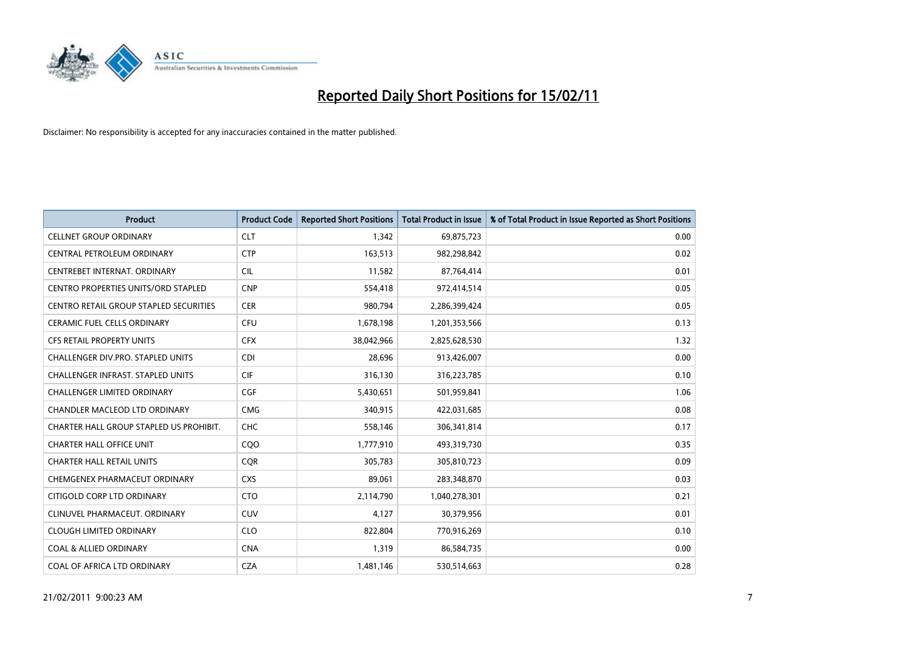

| <b>Product</b>                                | <b>Product Code</b> | <b>Reported Short Positions</b> | <b>Total Product in Issue</b> | % of Total Product in Issue Reported as Short Positions |
|-----------------------------------------------|---------------------|---------------------------------|-------------------------------|---------------------------------------------------------|
| <b>CELLNET GROUP ORDINARY</b>                 | <b>CLT</b>          | 1,342                           | 69,875,723                    | 0.00                                                    |
| CENTRAL PETROLEUM ORDINARY                    | <b>CTP</b>          | 163,513                         | 982,298,842                   | 0.02                                                    |
| CENTREBET INTERNAT, ORDINARY                  | <b>CIL</b>          | 11,582                          | 87,764,414                    | 0.01                                                    |
| CENTRO PROPERTIES UNITS/ORD STAPLED           | <b>CNP</b>          | 554,418                         | 972,414,514                   | 0.05                                                    |
| <b>CENTRO RETAIL GROUP STAPLED SECURITIES</b> | <b>CER</b>          | 980,794                         | 2,286,399,424                 | 0.05                                                    |
| <b>CERAMIC FUEL CELLS ORDINARY</b>            | <b>CFU</b>          | 1,678,198                       | 1,201,353,566                 | 0.13                                                    |
| <b>CFS RETAIL PROPERTY UNITS</b>              | <b>CFX</b>          | 38,042,966                      | 2,825,628,530                 | 1.32                                                    |
| <b>CHALLENGER DIV.PRO. STAPLED UNITS</b>      | <b>CDI</b>          | 28,696                          | 913,426,007                   | 0.00                                                    |
| CHALLENGER INFRAST. STAPLED UNITS             | <b>CIF</b>          | 316,130                         | 316,223,785                   | 0.10                                                    |
| <b>CHALLENGER LIMITED ORDINARY</b>            | <b>CGF</b>          | 5,430,651                       | 501,959,841                   | 1.06                                                    |
| CHANDLER MACLEOD LTD ORDINARY                 | <b>CMG</b>          | 340,915                         | 422,031,685                   | 0.08                                                    |
| CHARTER HALL GROUP STAPLED US PROHIBIT.       | <b>CHC</b>          | 558,146                         | 306,341,814                   | 0.17                                                    |
| <b>CHARTER HALL OFFICE UNIT</b>               | CQ <sub>O</sub>     | 1,777,910                       | 493,319,730                   | 0.35                                                    |
| <b>CHARTER HALL RETAIL UNITS</b>              | <b>COR</b>          | 305,783                         | 305,810,723                   | 0.09                                                    |
| CHEMGENEX PHARMACEUT ORDINARY                 | <b>CXS</b>          | 89,061                          | 283,348,870                   | 0.03                                                    |
| CITIGOLD CORP LTD ORDINARY                    | <b>CTO</b>          | 2,114,790                       | 1,040,278,301                 | 0.21                                                    |
| CLINUVEL PHARMACEUT, ORDINARY                 | <b>CUV</b>          | 4,127                           | 30,379,956                    | 0.01                                                    |
| <b>CLOUGH LIMITED ORDINARY</b>                | <b>CLO</b>          | 822,804                         | 770,916,269                   | 0.10                                                    |
| <b>COAL &amp; ALLIED ORDINARY</b>             | <b>CNA</b>          | 1,319                           | 86,584,735                    | 0.00                                                    |
| COAL OF AFRICA LTD ORDINARY                   | <b>CZA</b>          | 1,481,146                       | 530,514,663                   | 0.28                                                    |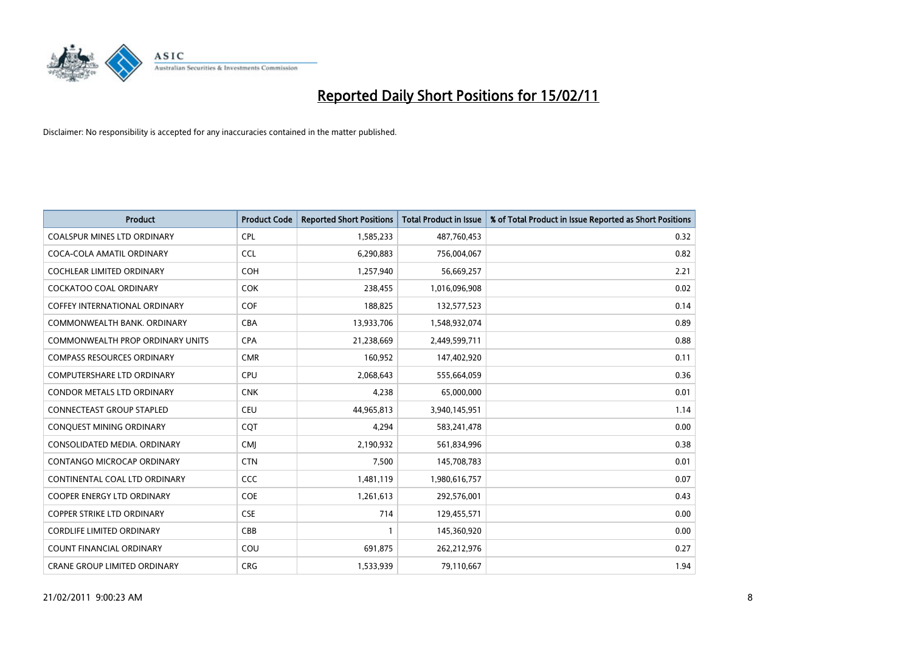

| <b>Product</b>                       | <b>Product Code</b> | <b>Reported Short Positions</b> | <b>Total Product in Issue</b> | % of Total Product in Issue Reported as Short Positions |
|--------------------------------------|---------------------|---------------------------------|-------------------------------|---------------------------------------------------------|
| <b>COALSPUR MINES LTD ORDINARY</b>   | <b>CPL</b>          | 1,585,233                       | 487,760,453                   | 0.32                                                    |
| COCA-COLA AMATIL ORDINARY            | <b>CCL</b>          | 6,290,883                       | 756,004,067                   | 0.82                                                    |
| <b>COCHLEAR LIMITED ORDINARY</b>     | <b>COH</b>          | 1,257,940                       | 56,669,257                    | 2.21                                                    |
| COCKATOO COAL ORDINARY               | <b>COK</b>          | 238,455                         | 1,016,096,908                 | 0.02                                                    |
| <b>COFFEY INTERNATIONAL ORDINARY</b> | <b>COF</b>          | 188,825                         | 132,577,523                   | 0.14                                                    |
| COMMONWEALTH BANK, ORDINARY          | <b>CBA</b>          | 13,933,706                      | 1,548,932,074                 | 0.89                                                    |
| COMMONWEALTH PROP ORDINARY UNITS     | <b>CPA</b>          | 21,238,669                      | 2,449,599,711                 | 0.88                                                    |
| <b>COMPASS RESOURCES ORDINARY</b>    | <b>CMR</b>          | 160,952                         | 147,402,920                   | 0.11                                                    |
| COMPUTERSHARE LTD ORDINARY           | <b>CPU</b>          | 2,068,643                       | 555,664,059                   | 0.36                                                    |
| <b>CONDOR METALS LTD ORDINARY</b>    | <b>CNK</b>          | 4,238                           | 65,000,000                    | 0.01                                                    |
| <b>CONNECTEAST GROUP STAPLED</b>     | <b>CEU</b>          | 44,965,813                      | 3,940,145,951                 | 1.14                                                    |
| CONQUEST MINING ORDINARY             | <b>COT</b>          | 4,294                           | 583,241,478                   | 0.00                                                    |
| CONSOLIDATED MEDIA, ORDINARY         | <b>CMI</b>          | 2,190,932                       | 561,834,996                   | 0.38                                                    |
| CONTANGO MICROCAP ORDINARY           | <b>CTN</b>          | 7,500                           | 145,708,783                   | 0.01                                                    |
| CONTINENTAL COAL LTD ORDINARY        | <b>CCC</b>          | 1,481,119                       | 1,980,616,757                 | 0.07                                                    |
| <b>COOPER ENERGY LTD ORDINARY</b>    | <b>COE</b>          | 1,261,613                       | 292,576,001                   | 0.43                                                    |
| <b>COPPER STRIKE LTD ORDINARY</b>    | <b>CSE</b>          | 714                             | 129,455,571                   | 0.00                                                    |
| <b>CORDLIFE LIMITED ORDINARY</b>     | CBB                 |                                 | 145,360,920                   | 0.00                                                    |
| <b>COUNT FINANCIAL ORDINARY</b>      | COU                 | 691,875                         | 262,212,976                   | 0.27                                                    |
| CRANE GROUP LIMITED ORDINARY         | <b>CRG</b>          | 1,533,939                       | 79,110,667                    | 1.94                                                    |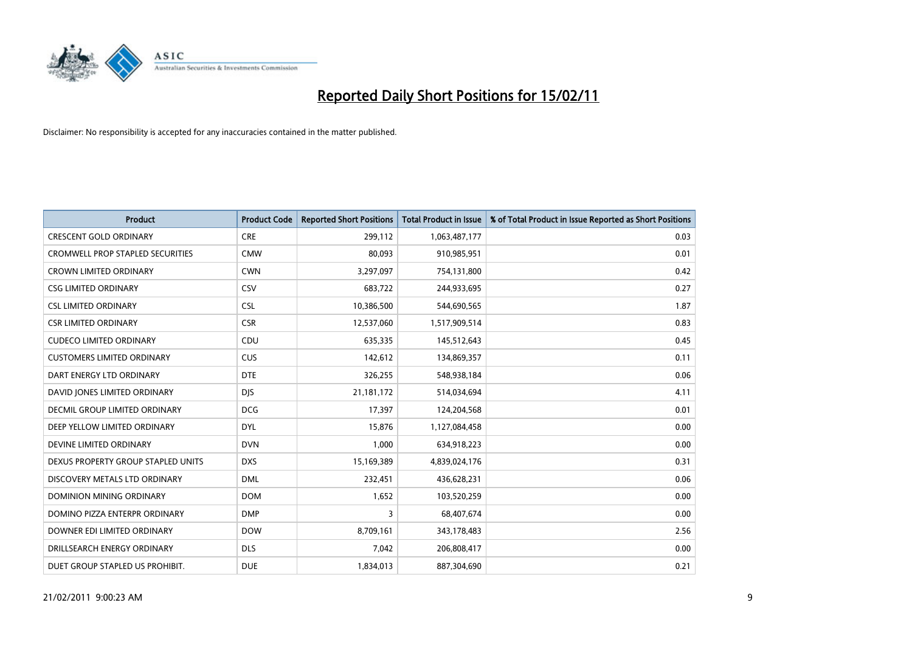

| <b>Product</b>                          | <b>Product Code</b> | <b>Reported Short Positions</b> | Total Product in Issue | % of Total Product in Issue Reported as Short Positions |
|-----------------------------------------|---------------------|---------------------------------|------------------------|---------------------------------------------------------|
| <b>CRESCENT GOLD ORDINARY</b>           | <b>CRE</b>          | 299,112                         | 1,063,487,177          | 0.03                                                    |
| <b>CROMWELL PROP STAPLED SECURITIES</b> | <b>CMW</b>          | 80,093                          | 910,985,951            | 0.01                                                    |
| <b>CROWN LIMITED ORDINARY</b>           | <b>CWN</b>          | 3,297,097                       | 754,131,800            | 0.42                                                    |
| <b>CSG LIMITED ORDINARY</b>             | CSV                 | 683,722                         | 244,933,695            | 0.27                                                    |
| <b>CSL LIMITED ORDINARY</b>             | <b>CSL</b>          | 10,386,500                      | 544,690,565            | 1.87                                                    |
| <b>CSR LIMITED ORDINARY</b>             | <b>CSR</b>          | 12,537,060                      | 1,517,909,514          | 0.83                                                    |
| <b>CUDECO LIMITED ORDINARY</b>          | CDU                 | 635,335                         | 145,512,643            | 0.45                                                    |
| <b>CUSTOMERS LIMITED ORDINARY</b>       | <b>CUS</b>          | 142,612                         | 134,869,357            | 0.11                                                    |
| DART ENERGY LTD ORDINARY                | <b>DTE</b>          | 326,255                         | 548,938,184            | 0.06                                                    |
| DAVID JONES LIMITED ORDINARY            | <b>DJS</b>          | 21,181,172                      | 514,034,694            | 4.11                                                    |
| <b>DECMIL GROUP LIMITED ORDINARY</b>    | <b>DCG</b>          | 17,397                          | 124,204,568            | 0.01                                                    |
| DEEP YELLOW LIMITED ORDINARY            | <b>DYL</b>          | 15,876                          | 1,127,084,458          | 0.00                                                    |
| DEVINE LIMITED ORDINARY                 | <b>DVN</b>          | 1,000                           | 634,918,223            | 0.00                                                    |
| DEXUS PROPERTY GROUP STAPLED UNITS      | <b>DXS</b>          | 15,169,389                      | 4,839,024,176          | 0.31                                                    |
| DISCOVERY METALS LTD ORDINARY           | <b>DML</b>          | 232,451                         | 436,628,231            | 0.06                                                    |
| DOMINION MINING ORDINARY                | <b>DOM</b>          | 1,652                           | 103,520,259            | 0.00                                                    |
| DOMINO PIZZA ENTERPR ORDINARY           | <b>DMP</b>          | 3                               | 68,407,674             | 0.00                                                    |
| DOWNER EDI LIMITED ORDINARY             | <b>DOW</b>          | 8,709,161                       | 343,178,483            | 2.56                                                    |
| DRILLSEARCH ENERGY ORDINARY             | <b>DLS</b>          | 7,042                           | 206,808,417            | 0.00                                                    |
| DUET GROUP STAPLED US PROHIBIT.         | <b>DUE</b>          | 1,834,013                       | 887,304,690            | 0.21                                                    |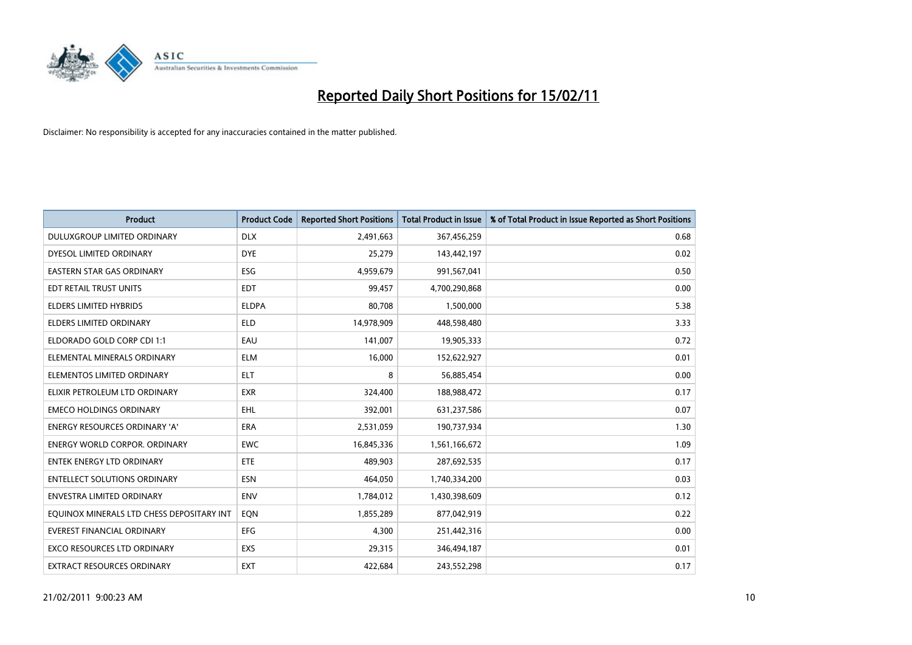

| <b>Product</b>                            | <b>Product Code</b> | <b>Reported Short Positions</b> | Total Product in Issue | % of Total Product in Issue Reported as Short Positions |
|-------------------------------------------|---------------------|---------------------------------|------------------------|---------------------------------------------------------|
| DULUXGROUP LIMITED ORDINARY               | <b>DLX</b>          | 2,491,663                       | 367,456,259            | 0.68                                                    |
| DYESOL LIMITED ORDINARY                   | <b>DYE</b>          | 25,279                          | 143,442,197            | 0.02                                                    |
| EASTERN STAR GAS ORDINARY                 | ESG                 | 4,959,679                       | 991,567,041            | 0.50                                                    |
| EDT RETAIL TRUST UNITS                    | <b>EDT</b>          | 99,457                          | 4,700,290,868          | 0.00                                                    |
| <b>ELDERS LIMITED HYBRIDS</b>             | <b>ELDPA</b>        | 80,708                          | 1,500,000              | 5.38                                                    |
| <b>ELDERS LIMITED ORDINARY</b>            | <b>ELD</b>          | 14,978,909                      | 448,598,480            | 3.33                                                    |
| ELDORADO GOLD CORP CDI 1:1                | EAU                 | 141,007                         | 19,905,333             | 0.72                                                    |
| ELEMENTAL MINERALS ORDINARY               | <b>ELM</b>          | 16,000                          | 152,622,927            | 0.01                                                    |
| ELEMENTOS LIMITED ORDINARY                | <b>ELT</b>          | 8                               | 56,885,454             | 0.00                                                    |
| ELIXIR PETROLEUM LTD ORDINARY             | <b>EXR</b>          | 324,400                         | 188,988,472            | 0.17                                                    |
| <b>EMECO HOLDINGS ORDINARY</b>            | <b>EHL</b>          | 392,001                         | 631,237,586            | 0.07                                                    |
| <b>ENERGY RESOURCES ORDINARY 'A'</b>      | <b>ERA</b>          | 2,531,059                       | 190,737,934            | 1.30                                                    |
| <b>ENERGY WORLD CORPOR, ORDINARY</b>      | <b>EWC</b>          | 16,845,336                      | 1,561,166,672          | 1.09                                                    |
| <b>ENTEK ENERGY LTD ORDINARY</b>          | ETE                 | 489.903                         | 287,692,535            | 0.17                                                    |
| <b>ENTELLECT SOLUTIONS ORDINARY</b>       | <b>ESN</b>          | 464.050                         | 1,740,334,200          | 0.03                                                    |
| <b>ENVESTRA LIMITED ORDINARY</b>          | <b>ENV</b>          | 1,784,012                       | 1,430,398,609          | 0.12                                                    |
| EQUINOX MINERALS LTD CHESS DEPOSITARY INT | EQN                 | 1,855,289                       | 877,042,919            | 0.22                                                    |
| <b>EVEREST FINANCIAL ORDINARY</b>         | EFG                 | 4,300                           | 251,442,316            | 0.00                                                    |
| <b>EXCO RESOURCES LTD ORDINARY</b>        | EXS                 | 29,315                          | 346,494,187            | 0.01                                                    |
| EXTRACT RESOURCES ORDINARY                | <b>EXT</b>          | 422,684                         | 243,552,298            | 0.17                                                    |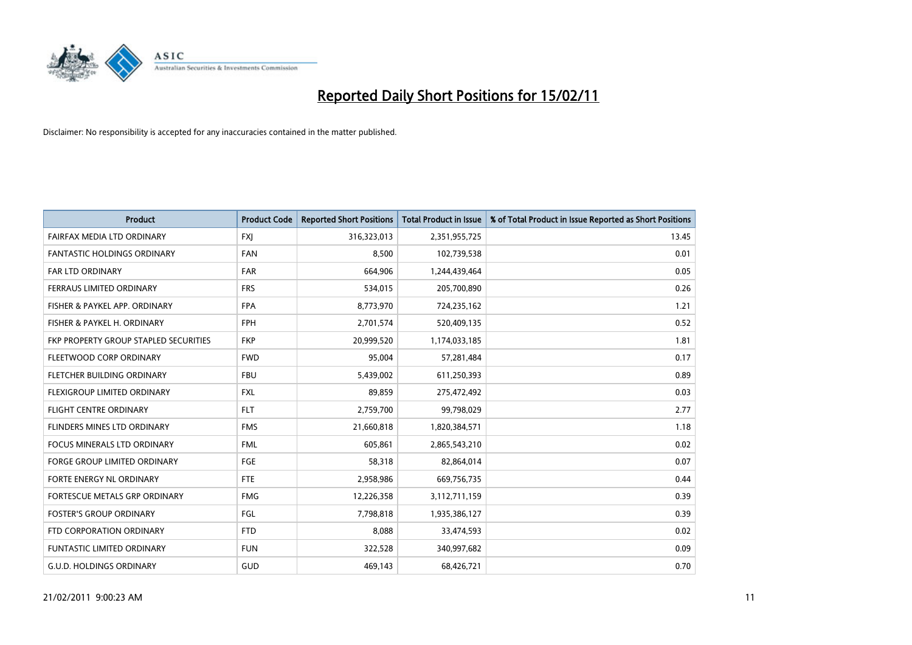

| <b>Product</b>                        | <b>Product Code</b> | <b>Reported Short Positions</b> | Total Product in Issue | % of Total Product in Issue Reported as Short Positions |
|---------------------------------------|---------------------|---------------------------------|------------------------|---------------------------------------------------------|
| <b>FAIRFAX MEDIA LTD ORDINARY</b>     | <b>FXJ</b>          | 316,323,013                     | 2,351,955,725          | 13.45                                                   |
| FANTASTIC HOLDINGS ORDINARY           | <b>FAN</b>          | 8,500                           | 102,739,538            | 0.01                                                    |
| <b>FAR LTD ORDINARY</b>               | <b>FAR</b>          | 664,906                         | 1,244,439,464          | 0.05                                                    |
| FERRAUS LIMITED ORDINARY              | <b>FRS</b>          | 534,015                         | 205,700,890            | 0.26                                                    |
| FISHER & PAYKEL APP. ORDINARY         | <b>FPA</b>          | 8,773,970                       | 724,235,162            | 1.21                                                    |
| FISHER & PAYKEL H. ORDINARY           | <b>FPH</b>          | 2,701,574                       | 520,409,135            | 0.52                                                    |
| FKP PROPERTY GROUP STAPLED SECURITIES | <b>FKP</b>          | 20,999,520                      | 1,174,033,185          | 1.81                                                    |
| FLEETWOOD CORP ORDINARY               | <b>FWD</b>          | 95,004                          | 57,281,484             | 0.17                                                    |
| FLETCHER BUILDING ORDINARY            | <b>FBU</b>          | 5,439,002                       | 611,250,393            | 0.89                                                    |
| FLEXIGROUP LIMITED ORDINARY           | <b>FXL</b>          | 89,859                          | 275,472,492            | 0.03                                                    |
| <b>FLIGHT CENTRE ORDINARY</b>         | <b>FLT</b>          | 2,759,700                       | 99,798,029             | 2.77                                                    |
| FLINDERS MINES LTD ORDINARY           | <b>FMS</b>          | 21,660,818                      | 1,820,384,571          | 1.18                                                    |
| <b>FOCUS MINERALS LTD ORDINARY</b>    | <b>FML</b>          | 605.861                         | 2,865,543,210          | 0.02                                                    |
| <b>FORGE GROUP LIMITED ORDINARY</b>   | FGE                 | 58,318                          | 82,864,014             | 0.07                                                    |
| FORTE ENERGY NL ORDINARY              | FTE                 | 2,958,986                       | 669,756,735            | 0.44                                                    |
| FORTESCUE METALS GRP ORDINARY         | <b>FMG</b>          | 12,226,358                      | 3,112,711,159          | 0.39                                                    |
| <b>FOSTER'S GROUP ORDINARY</b>        | FGL                 | 7,798,818                       | 1,935,386,127          | 0.39                                                    |
| FTD CORPORATION ORDINARY              | <b>FTD</b>          | 8,088                           | 33,474,593             | 0.02                                                    |
| <b>FUNTASTIC LIMITED ORDINARY</b>     | <b>FUN</b>          | 322,528                         | 340,997,682            | 0.09                                                    |
| G.U.D. HOLDINGS ORDINARY              | GUD                 | 469,143                         | 68,426,721             | 0.70                                                    |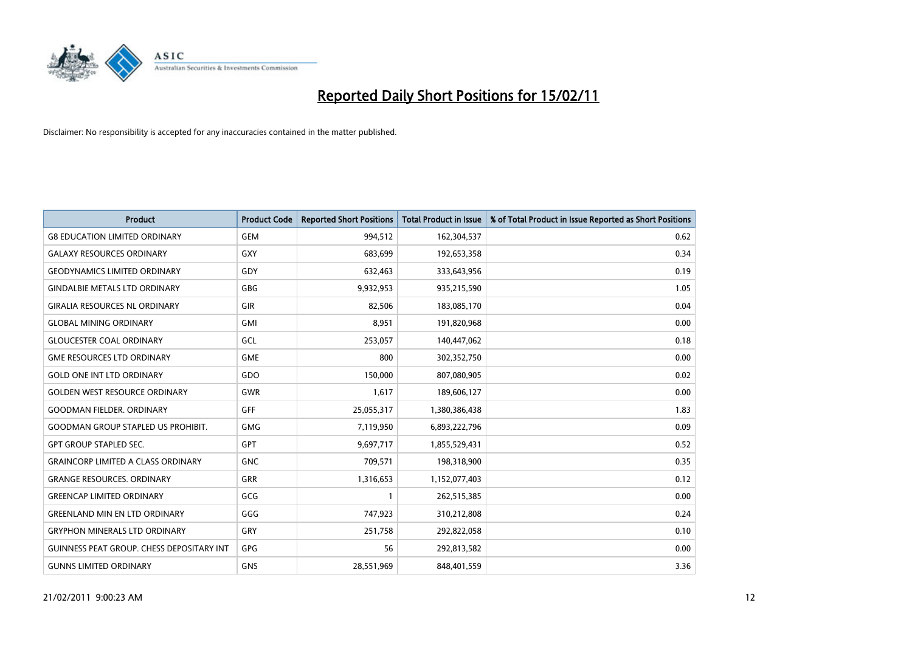

| <b>Product</b>                                   | <b>Product Code</b> | <b>Reported Short Positions</b> | Total Product in Issue | % of Total Product in Issue Reported as Short Positions |
|--------------------------------------------------|---------------------|---------------------------------|------------------------|---------------------------------------------------------|
| <b>G8 EDUCATION LIMITED ORDINARY</b>             | <b>GEM</b>          | 994,512                         | 162,304,537            | 0.62                                                    |
| <b>GALAXY RESOURCES ORDINARY</b>                 | GXY                 | 683,699                         | 192,653,358            | 0.34                                                    |
| <b>GEODYNAMICS LIMITED ORDINARY</b>              | GDY                 | 632,463                         | 333,643,956            | 0.19                                                    |
| <b>GINDALBIE METALS LTD ORDINARY</b>             | GBG                 | 9,932,953                       | 935,215,590            | 1.05                                                    |
| <b>GIRALIA RESOURCES NL ORDINARY</b>             | GIR                 | 82,506                          | 183,085,170            | 0.04                                                    |
| <b>GLOBAL MINING ORDINARY</b>                    | <b>GMI</b>          | 8,951                           | 191,820,968            | 0.00                                                    |
| <b>GLOUCESTER COAL ORDINARY</b>                  | GCL                 | 253,057                         | 140,447,062            | 0.18                                                    |
| <b>GME RESOURCES LTD ORDINARY</b>                | <b>GME</b>          | 800                             | 302,352,750            | 0.00                                                    |
| <b>GOLD ONE INT LTD ORDINARY</b>                 | GDO                 | 150,000                         | 807,080,905            | 0.02                                                    |
| <b>GOLDEN WEST RESOURCE ORDINARY</b>             | GWR                 | 1,617                           | 189,606,127            | 0.00                                                    |
| <b>GOODMAN FIELDER, ORDINARY</b>                 | <b>GFF</b>          | 25,055,317                      | 1,380,386,438          | 1.83                                                    |
| <b>GOODMAN GROUP STAPLED US PROHIBIT.</b>        | <b>GMG</b>          | 7,119,950                       | 6,893,222,796          | 0.09                                                    |
| <b>GPT GROUP STAPLED SEC.</b>                    | GPT                 | 9,697,717                       | 1,855,529,431          | 0.52                                                    |
| <b>GRAINCORP LIMITED A CLASS ORDINARY</b>        | <b>GNC</b>          | 709,571                         | 198,318,900            | 0.35                                                    |
| <b>GRANGE RESOURCES, ORDINARY</b>                | GRR                 | 1,316,653                       | 1,152,077,403          | 0.12                                                    |
| <b>GREENCAP LIMITED ORDINARY</b>                 | GCG                 |                                 | 262,515,385            | 0.00                                                    |
| <b>GREENLAND MIN EN LTD ORDINARY</b>             | GGG                 | 747,923                         | 310,212,808            | 0.24                                                    |
| <b>GRYPHON MINERALS LTD ORDINARY</b>             | GRY                 | 251,758                         | 292,822,058            | 0.10                                                    |
| <b>GUINNESS PEAT GROUP. CHESS DEPOSITARY INT</b> | <b>GPG</b>          | 56                              | 292,813,582            | 0.00                                                    |
| <b>GUNNS LIMITED ORDINARY</b>                    | <b>GNS</b>          | 28,551,969                      | 848,401,559            | 3.36                                                    |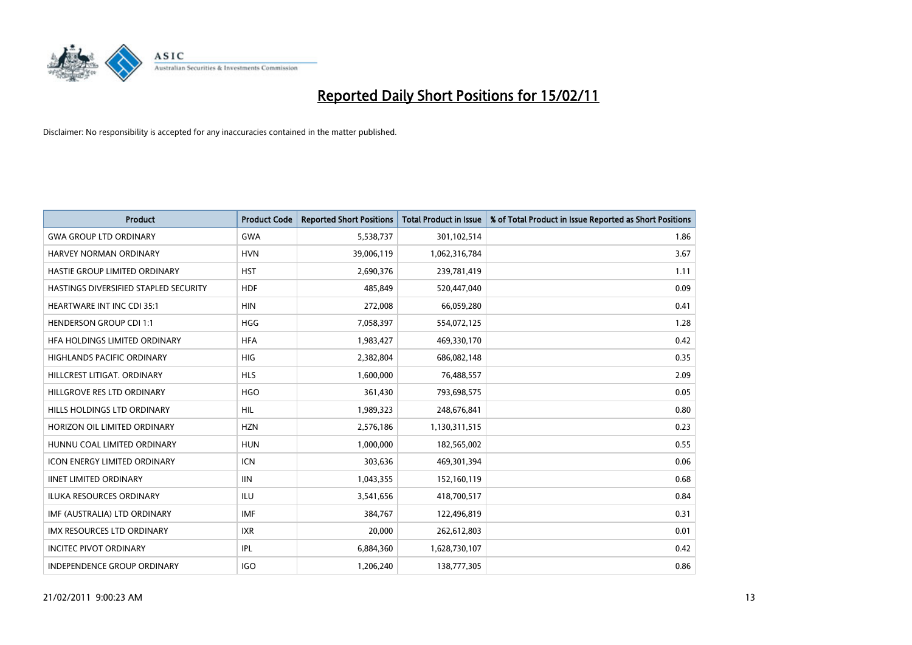

| Product                               | <b>Product Code</b> | <b>Reported Short Positions</b> | <b>Total Product in Issue</b> | % of Total Product in Issue Reported as Short Positions |
|---------------------------------------|---------------------|---------------------------------|-------------------------------|---------------------------------------------------------|
| <b>GWA GROUP LTD ORDINARY</b>         | <b>GWA</b>          | 5,538,737                       | 301,102,514                   | 1.86                                                    |
| HARVEY NORMAN ORDINARY                | <b>HVN</b>          | 39,006,119                      | 1,062,316,784                 | 3.67                                                    |
| HASTIE GROUP LIMITED ORDINARY         | <b>HST</b>          | 2,690,376                       | 239,781,419                   | 1.11                                                    |
| HASTINGS DIVERSIFIED STAPLED SECURITY | <b>HDF</b>          | 485,849                         | 520,447,040                   | 0.09                                                    |
| <b>HEARTWARE INT INC CDI 35:1</b>     | <b>HIN</b>          | 272,008                         | 66,059,280                    | 0.41                                                    |
| <b>HENDERSON GROUP CDI 1:1</b>        | <b>HGG</b>          | 7,058,397                       | 554,072,125                   | 1.28                                                    |
| HEA HOLDINGS LIMITED ORDINARY         | <b>HFA</b>          | 1,983,427                       | 469,330,170                   | 0.42                                                    |
| HIGHLANDS PACIFIC ORDINARY            | <b>HIG</b>          | 2,382,804                       | 686,082,148                   | 0.35                                                    |
| HILLCREST LITIGAT. ORDINARY           | <b>HLS</b>          | 1,600,000                       | 76,488,557                    | 2.09                                                    |
| HILLGROVE RES LTD ORDINARY            | <b>HGO</b>          | 361,430                         | 793,698,575                   | 0.05                                                    |
| HILLS HOLDINGS LTD ORDINARY           | <b>HIL</b>          | 1,989,323                       | 248,676,841                   | 0.80                                                    |
| HORIZON OIL LIMITED ORDINARY          | <b>HZN</b>          | 2,576,186                       | 1,130,311,515                 | 0.23                                                    |
| HUNNU COAL LIMITED ORDINARY           | <b>HUN</b>          | 1,000,000                       | 182,565,002                   | 0.55                                                    |
| <b>ICON ENERGY LIMITED ORDINARY</b>   | <b>ICN</b>          | 303,636                         | 469,301,394                   | 0.06                                                    |
| <b>IINET LIMITED ORDINARY</b>         | <b>IIN</b>          | 1,043,355                       | 152,160,119                   | 0.68                                                    |
| <b>ILUKA RESOURCES ORDINARY</b>       | ILU                 | 3,541,656                       | 418,700,517                   | 0.84                                                    |
| IMF (AUSTRALIA) LTD ORDINARY          | <b>IMF</b>          | 384,767                         | 122,496,819                   | 0.31                                                    |
| IMX RESOURCES LTD ORDINARY            | <b>IXR</b>          | 20,000                          | 262,612,803                   | 0.01                                                    |
| <b>INCITEC PIVOT ORDINARY</b>         | IPL                 | 6,884,360                       | 1,628,730,107                 | 0.42                                                    |
| INDEPENDENCE GROUP ORDINARY           | <b>IGO</b>          | 1,206,240                       | 138,777,305                   | 0.86                                                    |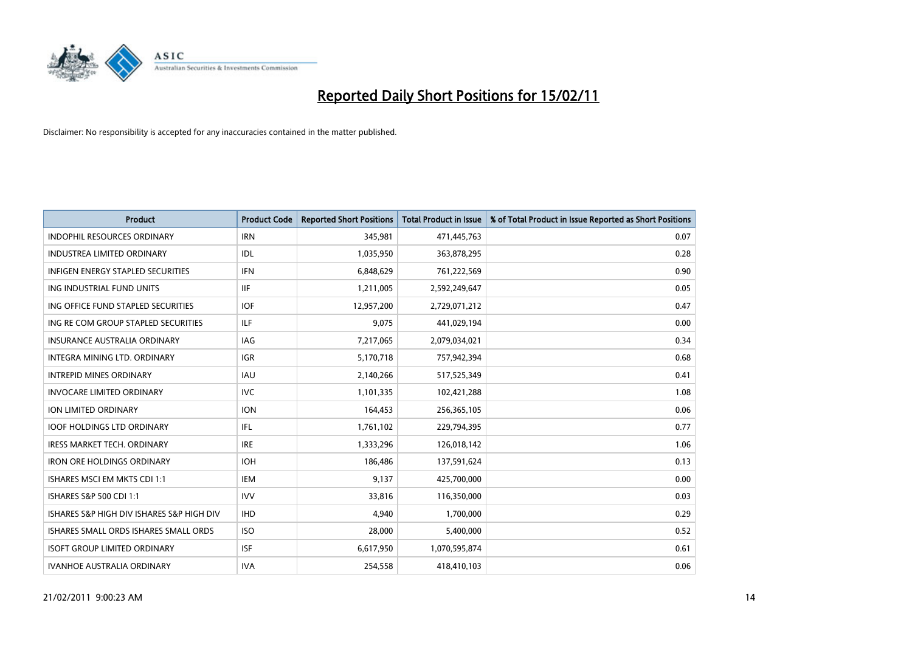

| Product                                   | <b>Product Code</b> | <b>Reported Short Positions</b> | <b>Total Product in Issue</b> | % of Total Product in Issue Reported as Short Positions |
|-------------------------------------------|---------------------|---------------------------------|-------------------------------|---------------------------------------------------------|
| <b>INDOPHIL RESOURCES ORDINARY</b>        | <b>IRN</b>          | 345,981                         | 471,445,763                   | 0.07                                                    |
| <b>INDUSTREA LIMITED ORDINARY</b>         | IDL                 | 1,035,950                       | 363,878,295                   | 0.28                                                    |
| <b>INFIGEN ENERGY STAPLED SECURITIES</b>  | <b>IFN</b>          | 6,848,629                       | 761,222,569                   | 0.90                                                    |
| ING INDUSTRIAL FUND UNITS                 | <b>IIF</b>          | 1,211,005                       | 2,592,249,647                 | 0.05                                                    |
| ING OFFICE FUND STAPLED SECURITIES        | <b>IOF</b>          | 12,957,200                      | 2,729,071,212                 | 0.47                                                    |
| ING RE COM GROUP STAPLED SECURITIES       | ILF.                | 9,075                           | 441,029,194                   | 0.00                                                    |
| <b>INSURANCE AUSTRALIA ORDINARY</b>       | IAG                 | 7,217,065                       | 2,079,034,021                 | 0.34                                                    |
| <b>INTEGRA MINING LTD, ORDINARY</b>       | <b>IGR</b>          | 5,170,718                       | 757,942,394                   | 0.68                                                    |
| <b>INTREPID MINES ORDINARY</b>            | <b>IAU</b>          | 2,140,266                       | 517,525,349                   | 0.41                                                    |
| <b>INVOCARE LIMITED ORDINARY</b>          | IVC                 | 1,101,335                       | 102,421,288                   | 1.08                                                    |
| ION LIMITED ORDINARY                      | <b>ION</b>          | 164,453                         | 256,365,105                   | 0.06                                                    |
| <b>IOOF HOLDINGS LTD ORDINARY</b>         | IFL.                | 1,761,102                       | 229,794,395                   | 0.77                                                    |
| <b>IRESS MARKET TECH. ORDINARY</b>        | <b>IRE</b>          | 1,333,296                       | 126,018,142                   | 1.06                                                    |
| <b>IRON ORE HOLDINGS ORDINARY</b>         | <b>IOH</b>          | 186,486                         | 137,591,624                   | 0.13                                                    |
| <b>ISHARES MSCI EM MKTS CDI 1:1</b>       | IEM                 | 9,137                           | 425,700,000                   | 0.00                                                    |
| ISHARES S&P 500 CDI 1:1                   | <b>IVV</b>          | 33,816                          | 116,350,000                   | 0.03                                                    |
| ISHARES S&P HIGH DIV ISHARES S&P HIGH DIV | <b>IHD</b>          | 4,940                           | 1,700,000                     | 0.29                                                    |
| ISHARES SMALL ORDS ISHARES SMALL ORDS     | <b>ISO</b>          | 28,000                          | 5,400,000                     | 0.52                                                    |
| <b>ISOFT GROUP LIMITED ORDINARY</b>       | <b>ISF</b>          | 6,617,950                       | 1,070,595,874                 | 0.61                                                    |
| <b>IVANHOE AUSTRALIA ORDINARY</b>         | <b>IVA</b>          | 254,558                         | 418,410,103                   | 0.06                                                    |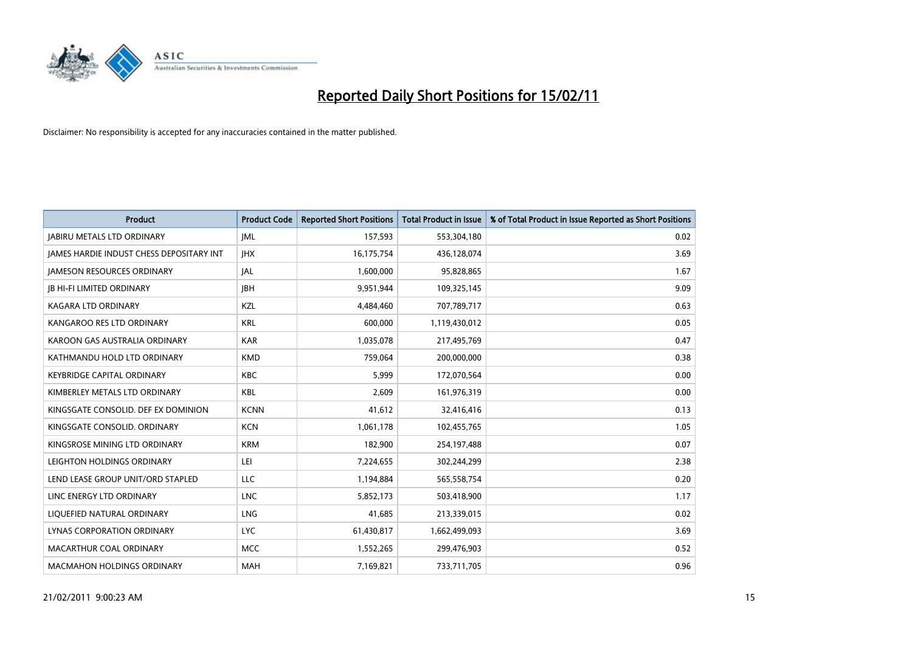

| Product                                         | <b>Product Code</b> | <b>Reported Short Positions</b> | <b>Total Product in Issue</b> | % of Total Product in Issue Reported as Short Positions |
|-------------------------------------------------|---------------------|---------------------------------|-------------------------------|---------------------------------------------------------|
| <b>JABIRU METALS LTD ORDINARY</b>               | <b>JML</b>          | 157,593                         | 553,304,180                   | 0.02                                                    |
| <b>IAMES HARDIE INDUST CHESS DEPOSITARY INT</b> | <b>IHX</b>          | 16,175,754                      | 436,128,074                   | 3.69                                                    |
| <b>JAMESON RESOURCES ORDINARY</b>               | <b>JAL</b>          | 1,600,000                       | 95,828,865                    | 1.67                                                    |
| <b>JB HI-FI LIMITED ORDINARY</b>                | <b>IBH</b>          | 9,951,944                       | 109,325,145                   | 9.09                                                    |
| <b>KAGARA LTD ORDINARY</b>                      | KZL                 | 4,484,460                       | 707,789,717                   | 0.63                                                    |
| KANGAROO RES LTD ORDINARY                       | <b>KRL</b>          | 600,000                         | 1,119,430,012                 | 0.05                                                    |
| KAROON GAS AUSTRALIA ORDINARY                   | <b>KAR</b>          | 1,035,078                       | 217,495,769                   | 0.47                                                    |
| KATHMANDU HOLD LTD ORDINARY                     | <b>KMD</b>          | 759,064                         | 200,000,000                   | 0.38                                                    |
| <b>KEYBRIDGE CAPITAL ORDINARY</b>               | <b>KBC</b>          | 5,999                           | 172,070,564                   | 0.00                                                    |
| KIMBERLEY METALS LTD ORDINARY                   | <b>KBL</b>          | 2,609                           | 161,976,319                   | 0.00                                                    |
| KINGSGATE CONSOLID. DEF EX DOMINION             | <b>KCNN</b>         | 41,612                          | 32,416,416                    | 0.13                                                    |
| KINGSGATE CONSOLID, ORDINARY                    | <b>KCN</b>          | 1,061,178                       | 102,455,765                   | 1.05                                                    |
| KINGSROSE MINING LTD ORDINARY                   | <b>KRM</b>          | 182,900                         | 254,197,488                   | 0.07                                                    |
| LEIGHTON HOLDINGS ORDINARY                      | LEI                 | 7,224,655                       | 302,244,299                   | 2.38                                                    |
| LEND LEASE GROUP UNIT/ORD STAPLED               | <b>LLC</b>          | 1,194,884                       | 565,558,754                   | 0.20                                                    |
| LINC ENERGY LTD ORDINARY                        | <b>LNC</b>          | 5,852,173                       | 503,418,900                   | 1.17                                                    |
| LIQUEFIED NATURAL ORDINARY                      | <b>LNG</b>          | 41,685                          | 213,339,015                   | 0.02                                                    |
| LYNAS CORPORATION ORDINARY                      | <b>LYC</b>          | 61,430,817                      | 1,662,499,093                 | 3.69                                                    |
| MACARTHUR COAL ORDINARY                         | <b>MCC</b>          | 1,552,265                       | 299,476,903                   | 0.52                                                    |
| <b>MACMAHON HOLDINGS ORDINARY</b>               | <b>MAH</b>          | 7,169,821                       | 733,711,705                   | 0.96                                                    |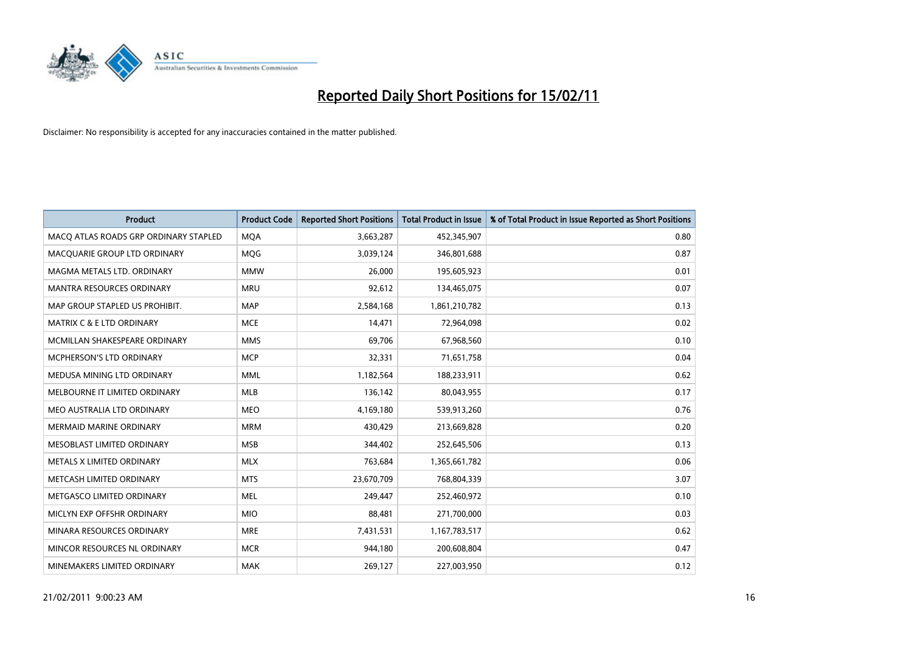

| <b>Product</b>                        | <b>Product Code</b> | <b>Reported Short Positions</b> | <b>Total Product in Issue</b> | % of Total Product in Issue Reported as Short Positions |
|---------------------------------------|---------------------|---------------------------------|-------------------------------|---------------------------------------------------------|
| MACQ ATLAS ROADS GRP ORDINARY STAPLED | <b>MQA</b>          | 3,663,287                       | 452,345,907                   | 0.80                                                    |
| MACQUARIE GROUP LTD ORDINARY          | <b>MOG</b>          | 3,039,124                       | 346,801,688                   | 0.87                                                    |
| MAGMA METALS LTD. ORDINARY            | <b>MMW</b>          | 26,000                          | 195,605,923                   | 0.01                                                    |
| MANTRA RESOURCES ORDINARY             | <b>MRU</b>          | 92,612                          | 134,465,075                   | 0.07                                                    |
| MAP GROUP STAPLED US PROHIBIT.        | <b>MAP</b>          | 2,584,168                       | 1,861,210,782                 | 0.13                                                    |
| <b>MATRIX C &amp; E LTD ORDINARY</b>  | <b>MCE</b>          | 14,471                          | 72,964,098                    | 0.02                                                    |
| MCMILLAN SHAKESPEARE ORDINARY         | <b>MMS</b>          | 69,706                          | 67,968,560                    | 0.10                                                    |
| MCPHERSON'S LTD ORDINARY              | <b>MCP</b>          | 32,331                          | 71,651,758                    | 0.04                                                    |
| MEDUSA MINING LTD ORDINARY            | <b>MML</b>          | 1,182,564                       | 188,233,911                   | 0.62                                                    |
| MELBOURNE IT LIMITED ORDINARY         | <b>MLB</b>          | 136,142                         | 80,043,955                    | 0.17                                                    |
| MEO AUSTRALIA LTD ORDINARY            | <b>MEO</b>          | 4,169,180                       | 539,913,260                   | 0.76                                                    |
| <b>MERMAID MARINE ORDINARY</b>        | <b>MRM</b>          | 430,429                         | 213,669,828                   | 0.20                                                    |
| MESOBLAST LIMITED ORDINARY            | <b>MSB</b>          | 344,402                         | 252,645,506                   | 0.13                                                    |
| METALS X LIMITED ORDINARY             | <b>MLX</b>          | 763,684                         | 1,365,661,782                 | 0.06                                                    |
| METCASH LIMITED ORDINARY              | <b>MTS</b>          | 23,670,709                      | 768,804,339                   | 3.07                                                    |
| METGASCO LIMITED ORDINARY             | <b>MEL</b>          | 249,447                         | 252,460,972                   | 0.10                                                    |
| MICLYN EXP OFFSHR ORDINARY            | <b>MIO</b>          | 88,481                          | 271,700,000                   | 0.03                                                    |
| MINARA RESOURCES ORDINARY             | <b>MRE</b>          | 7,431,531                       | 1,167,783,517                 | 0.62                                                    |
| MINCOR RESOURCES NL ORDINARY          | <b>MCR</b>          | 944,180                         | 200,608,804                   | 0.47                                                    |
| MINEMAKERS LIMITED ORDINARY           | <b>MAK</b>          | 269,127                         | 227,003,950                   | 0.12                                                    |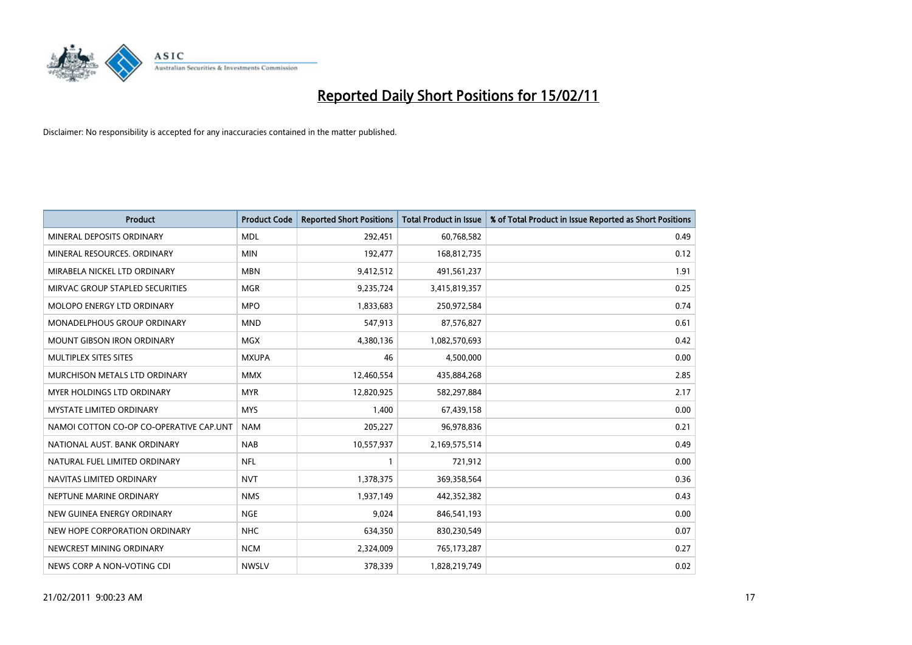

| <b>Product</b>                          | <b>Product Code</b> | <b>Reported Short Positions</b> | <b>Total Product in Issue</b> | % of Total Product in Issue Reported as Short Positions |
|-----------------------------------------|---------------------|---------------------------------|-------------------------------|---------------------------------------------------------|
| MINERAL DEPOSITS ORDINARY               | <b>MDL</b>          | 292,451                         | 60,768,582                    | 0.49                                                    |
| MINERAL RESOURCES. ORDINARY             | <b>MIN</b>          | 192,477                         | 168,812,735                   | 0.12                                                    |
| MIRABELA NICKEL LTD ORDINARY            | <b>MBN</b>          | 9,412,512                       | 491,561,237                   | 1.91                                                    |
| MIRVAC GROUP STAPLED SECURITIES         | <b>MGR</b>          | 9,235,724                       | 3,415,819,357                 | 0.25                                                    |
| <b>MOLOPO ENERGY LTD ORDINARY</b>       | <b>MPO</b>          | 1,833,683                       | 250,972,584                   | 0.74                                                    |
| MONADELPHOUS GROUP ORDINARY             | <b>MND</b>          | 547,913                         | 87,576,827                    | 0.61                                                    |
| <b>MOUNT GIBSON IRON ORDINARY</b>       | <b>MGX</b>          | 4,380,136                       | 1,082,570,693                 | 0.42                                                    |
| MULTIPLEX SITES SITES                   | <b>MXUPA</b>        | 46                              | 4,500,000                     | 0.00                                                    |
| MURCHISON METALS LTD ORDINARY           | <b>MMX</b>          | 12,460,554                      | 435,884,268                   | 2.85                                                    |
| MYER HOLDINGS LTD ORDINARY              | <b>MYR</b>          | 12,820,925                      | 582,297,884                   | 2.17                                                    |
| MYSTATE LIMITED ORDINARY                | <b>MYS</b>          | 1,400                           | 67,439,158                    | 0.00                                                    |
| NAMOI COTTON CO-OP CO-OPERATIVE CAP.UNT | <b>NAM</b>          | 205,227                         | 96,978,836                    | 0.21                                                    |
| NATIONAL AUST, BANK ORDINARY            | <b>NAB</b>          | 10,557,937                      | 2,169,575,514                 | 0.49                                                    |
| NATURAL FUEL LIMITED ORDINARY           | <b>NFL</b>          |                                 | 721,912                       | 0.00                                                    |
| NAVITAS LIMITED ORDINARY                | <b>NVT</b>          | 1,378,375                       | 369,358,564                   | 0.36                                                    |
| NEPTUNE MARINE ORDINARY                 | <b>NMS</b>          | 1,937,149                       | 442,352,382                   | 0.43                                                    |
| NEW GUINEA ENERGY ORDINARY              | <b>NGE</b>          | 9,024                           | 846,541,193                   | 0.00                                                    |
| NEW HOPE CORPORATION ORDINARY           | <b>NHC</b>          | 634,350                         | 830,230,549                   | 0.07                                                    |
| NEWCREST MINING ORDINARY                | <b>NCM</b>          | 2,324,009                       | 765,173,287                   | 0.27                                                    |
| NEWS CORP A NON-VOTING CDI              | <b>NWSLV</b>        | 378,339                         | 1,828,219,749                 | 0.02                                                    |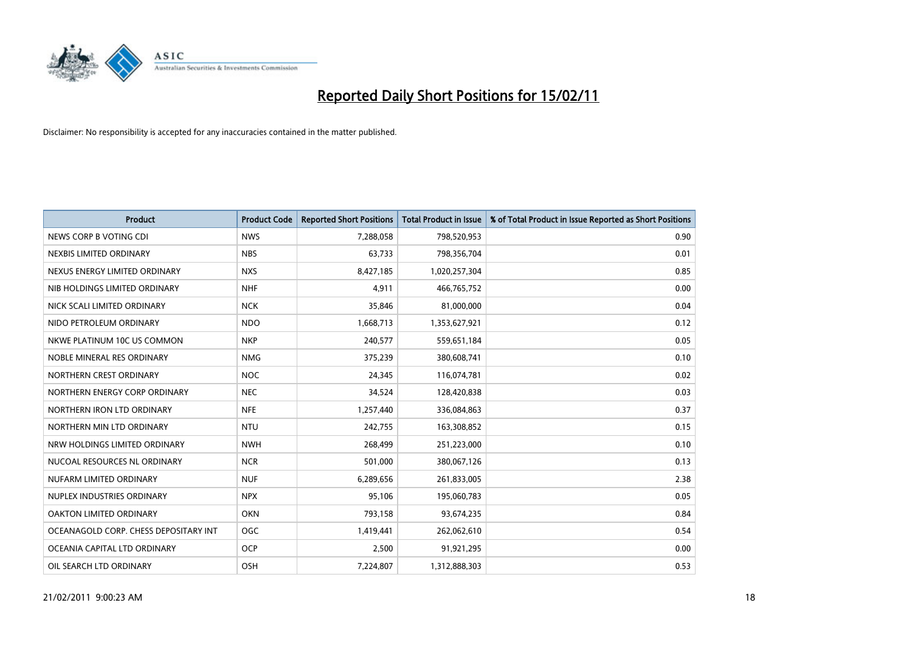

| <b>Product</b>                        | <b>Product Code</b> | <b>Reported Short Positions</b> | <b>Total Product in Issue</b> | % of Total Product in Issue Reported as Short Positions |
|---------------------------------------|---------------------|---------------------------------|-------------------------------|---------------------------------------------------------|
| NEWS CORP B VOTING CDI                | <b>NWS</b>          | 7,288,058                       | 798,520,953                   | 0.90                                                    |
| NEXBIS LIMITED ORDINARY               | <b>NBS</b>          | 63,733                          | 798,356,704                   | 0.01                                                    |
| NEXUS ENERGY LIMITED ORDINARY         | <b>NXS</b>          | 8,427,185                       | 1,020,257,304                 | 0.85                                                    |
| NIB HOLDINGS LIMITED ORDINARY         | <b>NHF</b>          | 4,911                           | 466,765,752                   | 0.00                                                    |
| NICK SCALI LIMITED ORDINARY           | <b>NCK</b>          | 35,846                          | 81,000,000                    | 0.04                                                    |
| NIDO PETROLEUM ORDINARY               | <b>NDO</b>          | 1,668,713                       | 1,353,627,921                 | 0.12                                                    |
| NKWE PLATINUM 10C US COMMON           | <b>NKP</b>          | 240,577                         | 559,651,184                   | 0.05                                                    |
| NOBLE MINERAL RES ORDINARY            | <b>NMG</b>          | 375,239                         | 380,608,741                   | 0.10                                                    |
| NORTHERN CREST ORDINARY               | <b>NOC</b>          | 24,345                          | 116,074,781                   | 0.02                                                    |
| NORTHERN ENERGY CORP ORDINARY         | <b>NEC</b>          | 34,524                          | 128,420,838                   | 0.03                                                    |
| NORTHERN IRON LTD ORDINARY            | <b>NFE</b>          | 1,257,440                       | 336,084,863                   | 0.37                                                    |
| NORTHERN MIN LTD ORDINARY             | <b>NTU</b>          | 242,755                         | 163,308,852                   | 0.15                                                    |
| NRW HOLDINGS LIMITED ORDINARY         | <b>NWH</b>          | 268,499                         | 251,223,000                   | 0.10                                                    |
| NUCOAL RESOURCES NL ORDINARY          | <b>NCR</b>          | 501,000                         | 380,067,126                   | 0.13                                                    |
| NUFARM LIMITED ORDINARY               | <b>NUF</b>          | 6,289,656                       | 261,833,005                   | 2.38                                                    |
| NUPLEX INDUSTRIES ORDINARY            | <b>NPX</b>          | 95,106                          | 195,060,783                   | 0.05                                                    |
| OAKTON LIMITED ORDINARY               | <b>OKN</b>          | 793,158                         | 93,674,235                    | 0.84                                                    |
| OCEANAGOLD CORP. CHESS DEPOSITARY INT | <b>OGC</b>          | 1,419,441                       | 262,062,610                   | 0.54                                                    |
| OCEANIA CAPITAL LTD ORDINARY          | <b>OCP</b>          | 2,500                           | 91,921,295                    | 0.00                                                    |
| OIL SEARCH LTD ORDINARY               | OSH                 | 7.224.807                       | 1,312,888,303                 | 0.53                                                    |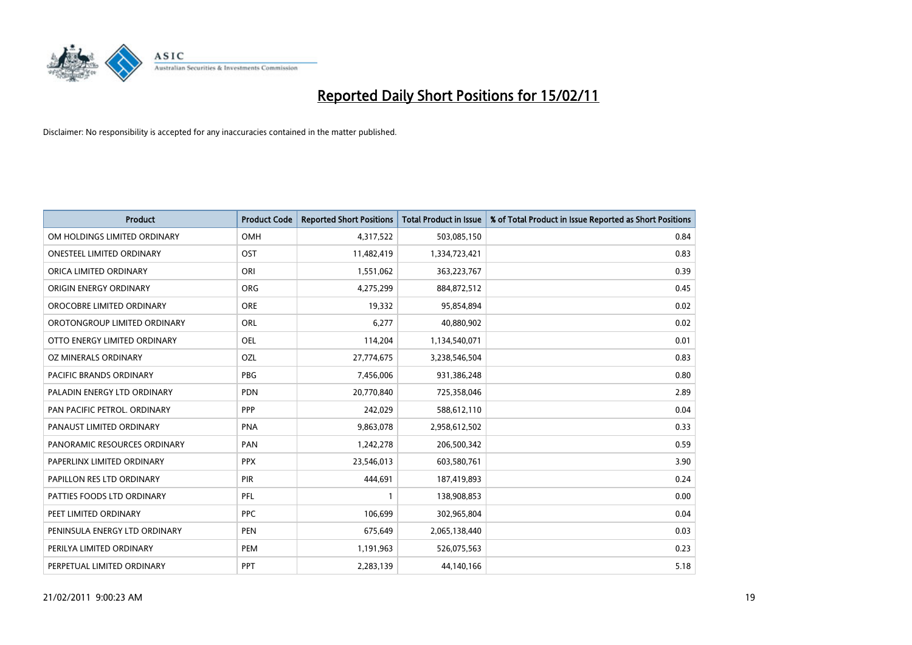

| Product                          | <b>Product Code</b> | <b>Reported Short Positions</b> | <b>Total Product in Issue</b> | % of Total Product in Issue Reported as Short Positions |
|----------------------------------|---------------------|---------------------------------|-------------------------------|---------------------------------------------------------|
| OM HOLDINGS LIMITED ORDINARY     | OMH                 | 4,317,522                       | 503,085,150                   | 0.84                                                    |
| <b>ONESTEEL LIMITED ORDINARY</b> | OST                 | 11,482,419                      | 1,334,723,421                 | 0.83                                                    |
| ORICA LIMITED ORDINARY           | ORI                 | 1,551,062                       | 363,223,767                   | 0.39                                                    |
| ORIGIN ENERGY ORDINARY           | <b>ORG</b>          | 4,275,299                       | 884,872,512                   | 0.45                                                    |
| OROCOBRE LIMITED ORDINARY        | <b>ORE</b>          | 19,332                          | 95,854,894                    | 0.02                                                    |
| OROTONGROUP LIMITED ORDINARY     | <b>ORL</b>          | 6,277                           | 40,880,902                    | 0.02                                                    |
| OTTO ENERGY LIMITED ORDINARY     | <b>OEL</b>          | 114,204                         | 1,134,540,071                 | 0.01                                                    |
| OZ MINERALS ORDINARY             | OZL                 | 27,774,675                      | 3,238,546,504                 | 0.83                                                    |
| <b>PACIFIC BRANDS ORDINARY</b>   | <b>PBG</b>          | 7,456,006                       | 931,386,248                   | 0.80                                                    |
| PALADIN ENERGY LTD ORDINARY      | <b>PDN</b>          | 20,770,840                      | 725,358,046                   | 2.89                                                    |
| PAN PACIFIC PETROL. ORDINARY     | PPP                 | 242,029                         | 588,612,110                   | 0.04                                                    |
| PANAUST LIMITED ORDINARY         | <b>PNA</b>          | 9,863,078                       | 2,958,612,502                 | 0.33                                                    |
| PANORAMIC RESOURCES ORDINARY     | PAN                 | 1,242,278                       | 206,500,342                   | 0.59                                                    |
| PAPERLINX LIMITED ORDINARY       | <b>PPX</b>          | 23,546,013                      | 603,580,761                   | 3.90                                                    |
| PAPILLON RES LTD ORDINARY        | PIR                 | 444,691                         | 187,419,893                   | 0.24                                                    |
| PATTIES FOODS LTD ORDINARY       | PFL                 |                                 | 138,908,853                   | 0.00                                                    |
| PEET LIMITED ORDINARY            | <b>PPC</b>          | 106,699                         | 302,965,804                   | 0.04                                                    |
| PENINSULA ENERGY LTD ORDINARY    | <b>PEN</b>          | 675,649                         | 2,065,138,440                 | 0.03                                                    |
| PERILYA LIMITED ORDINARY         | PEM                 | 1,191,963                       | 526,075,563                   | 0.23                                                    |
| PERPETUAL LIMITED ORDINARY       | PPT                 | 2,283,139                       | 44,140,166                    | 5.18                                                    |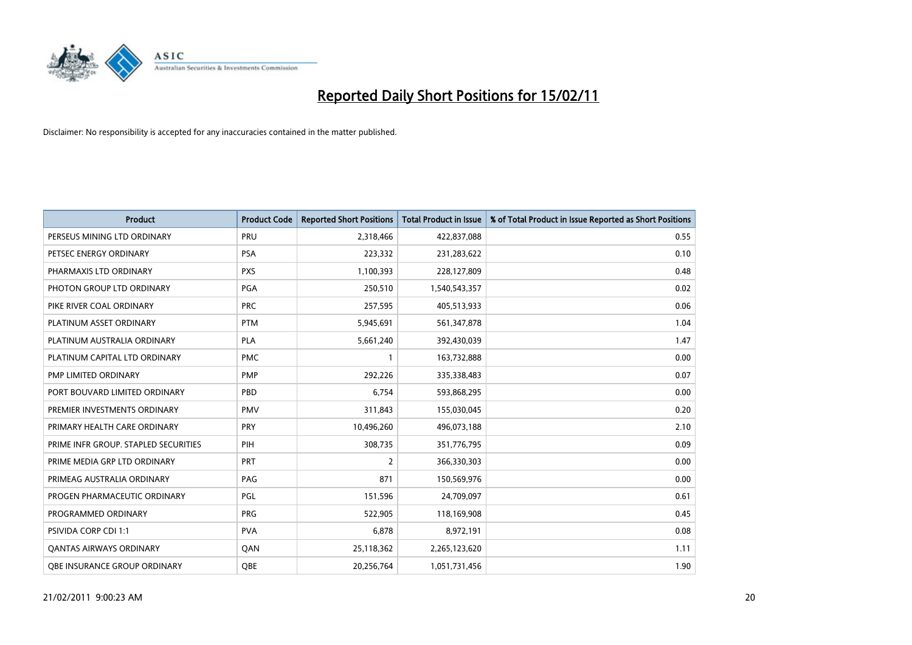

| <b>Product</b>                       | <b>Product Code</b> | <b>Reported Short Positions</b> | Total Product in Issue | % of Total Product in Issue Reported as Short Positions |
|--------------------------------------|---------------------|---------------------------------|------------------------|---------------------------------------------------------|
| PERSEUS MINING LTD ORDINARY          | PRU                 | 2,318,466                       | 422,837,088            | 0.55                                                    |
| PETSEC ENERGY ORDINARY               | <b>PSA</b>          | 223,332                         | 231,283,622            | 0.10                                                    |
| PHARMAXIS LTD ORDINARY               | <b>PXS</b>          | 1,100,393                       | 228,127,809            | 0.48                                                    |
| PHOTON GROUP LTD ORDINARY            | PGA                 | 250,510                         | 1,540,543,357          | 0.02                                                    |
| PIKE RIVER COAL ORDINARY             | <b>PRC</b>          | 257,595                         | 405,513,933            | 0.06                                                    |
| PLATINUM ASSET ORDINARY              | <b>PTM</b>          | 5,945,691                       | 561,347,878            | 1.04                                                    |
| PLATINUM AUSTRALIA ORDINARY          | <b>PLA</b>          | 5,661,240                       | 392,430,039            | 1.47                                                    |
| PLATINUM CAPITAL LTD ORDINARY        | <b>PMC</b>          |                                 | 163,732,888            | 0.00                                                    |
| PMP LIMITED ORDINARY                 | <b>PMP</b>          | 292,226                         | 335,338,483            | 0.07                                                    |
| PORT BOUVARD LIMITED ORDINARY        | PBD                 | 6,754                           | 593,868,295            | 0.00                                                    |
| PREMIER INVESTMENTS ORDINARY         | <b>PMV</b>          | 311,843                         | 155,030,045            | 0.20                                                    |
| PRIMARY HEALTH CARE ORDINARY         | <b>PRY</b>          | 10,496,260                      | 496,073,188            | 2.10                                                    |
| PRIME INFR GROUP. STAPLED SECURITIES | PIH                 | 308,735                         | 351,776,795            | 0.09                                                    |
| PRIME MEDIA GRP LTD ORDINARY         | PRT                 | $\overline{2}$                  | 366,330,303            | 0.00                                                    |
| PRIMEAG AUSTRALIA ORDINARY           | PAG                 | 871                             | 150,569,976            | 0.00                                                    |
| PROGEN PHARMACEUTIC ORDINARY         | PGL                 | 151,596                         | 24,709,097             | 0.61                                                    |
| PROGRAMMED ORDINARY                  | <b>PRG</b>          | 522,905                         | 118,169,908            | 0.45                                                    |
| PSIVIDA CORP CDI 1:1                 | <b>PVA</b>          | 6,878                           | 8,972,191              | 0.08                                                    |
| <b>QANTAS AIRWAYS ORDINARY</b>       | QAN                 | 25,118,362                      | 2,265,123,620          | 1.11                                                    |
| OBE INSURANCE GROUP ORDINARY         | <b>OBE</b>          | 20,256,764                      | 1,051,731,456          | 1.90                                                    |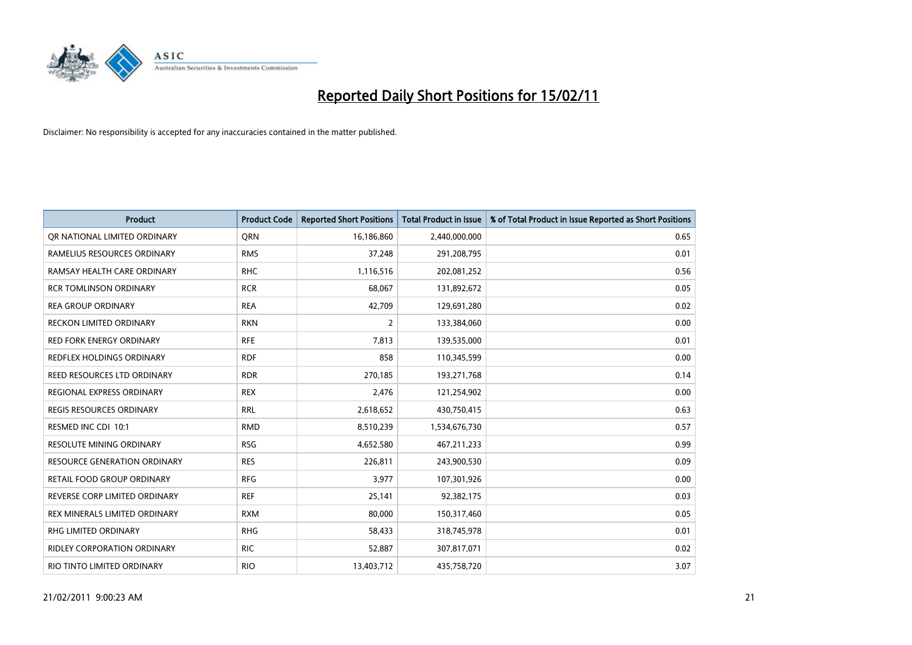

| <b>Product</b>                      | <b>Product Code</b> | <b>Reported Short Positions</b> | Total Product in Issue | % of Total Product in Issue Reported as Short Positions |
|-------------------------------------|---------------------|---------------------------------|------------------------|---------------------------------------------------------|
| OR NATIONAL LIMITED ORDINARY        | <b>ORN</b>          | 16,186,860                      | 2,440,000,000          | 0.65                                                    |
| RAMELIUS RESOURCES ORDINARY         | <b>RMS</b>          | 37,248                          | 291,208,795            | 0.01                                                    |
| RAMSAY HEALTH CARE ORDINARY         | <b>RHC</b>          | 1,116,516                       | 202,081,252            | 0.56                                                    |
| <b>RCR TOMLINSON ORDINARY</b>       | <b>RCR</b>          | 68,067                          | 131,892,672            | 0.05                                                    |
| <b>REA GROUP ORDINARY</b>           | <b>REA</b>          | 42,709                          | 129,691,280            | 0.02                                                    |
| <b>RECKON LIMITED ORDINARY</b>      | <b>RKN</b>          | $\overline{2}$                  | 133,384,060            | 0.00                                                    |
| <b>RED FORK ENERGY ORDINARY</b>     | <b>RFE</b>          | 7,813                           | 139,535,000            | 0.01                                                    |
| REDFLEX HOLDINGS ORDINARY           | <b>RDF</b>          | 858                             | 110,345,599            | 0.00                                                    |
| REED RESOURCES LTD ORDINARY         | <b>RDR</b>          | 270,185                         | 193,271,768            | 0.14                                                    |
| REGIONAL EXPRESS ORDINARY           | <b>REX</b>          | 2,476                           | 121,254,902            | 0.00                                                    |
| <b>REGIS RESOURCES ORDINARY</b>     | <b>RRL</b>          | 2,618,652                       | 430,750,415            | 0.63                                                    |
| RESMED INC CDI 10:1                 | <b>RMD</b>          | 8,510,239                       | 1,534,676,730          | 0.57                                                    |
| <b>RESOLUTE MINING ORDINARY</b>     | <b>RSG</b>          | 4,652,580                       | 467,211,233            | 0.99                                                    |
| <b>RESOURCE GENERATION ORDINARY</b> | <b>RES</b>          | 226,811                         | 243,900,530            | 0.09                                                    |
| RETAIL FOOD GROUP ORDINARY          | <b>RFG</b>          | 3,977                           | 107,301,926            | 0.00                                                    |
| REVERSE CORP LIMITED ORDINARY       | <b>REF</b>          | 25,141                          | 92,382,175             | 0.03                                                    |
| REX MINERALS LIMITED ORDINARY       | <b>RXM</b>          | 80,000                          | 150,317,460            | 0.05                                                    |
| RHG LIMITED ORDINARY                | <b>RHG</b>          | 58,433                          | 318,745,978            | 0.01                                                    |
| RIDLEY CORPORATION ORDINARY         | <b>RIC</b>          | 52,887                          | 307,817,071            | 0.02                                                    |
| RIO TINTO LIMITED ORDINARY          | <b>RIO</b>          | 13,403,712                      | 435,758,720            | 3.07                                                    |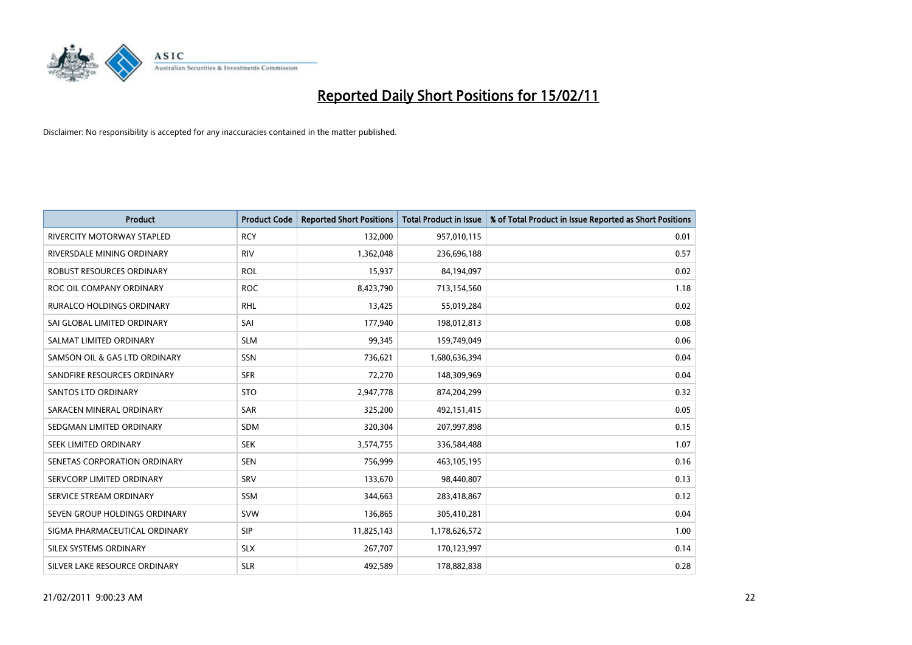

| <b>Product</b>                    | <b>Product Code</b> | <b>Reported Short Positions</b> | <b>Total Product in Issue</b> | % of Total Product in Issue Reported as Short Positions |
|-----------------------------------|---------------------|---------------------------------|-------------------------------|---------------------------------------------------------|
| <b>RIVERCITY MOTORWAY STAPLED</b> | <b>RCY</b>          | 132,000                         | 957,010,115                   | 0.01                                                    |
| RIVERSDALE MINING ORDINARY        | <b>RIV</b>          | 1,362,048                       | 236,696,188                   | 0.57                                                    |
| ROBUST RESOURCES ORDINARY         | <b>ROL</b>          | 15,937                          | 84,194,097                    | 0.02                                                    |
| ROC OIL COMPANY ORDINARY          | <b>ROC</b>          | 8,423,790                       | 713,154,560                   | 1.18                                                    |
| <b>RURALCO HOLDINGS ORDINARY</b>  | RHL                 | 13,425                          | 55,019,284                    | 0.02                                                    |
| SAI GLOBAL LIMITED ORDINARY       | SAI                 | 177,940                         | 198,012,813                   | 0.08                                                    |
| SALMAT LIMITED ORDINARY           | <b>SLM</b>          | 99,345                          | 159,749,049                   | 0.06                                                    |
| SAMSON OIL & GAS LTD ORDINARY     | SSN                 | 736,621                         | 1,680,636,394                 | 0.04                                                    |
| SANDFIRE RESOURCES ORDINARY       | <b>SFR</b>          | 72,270                          | 148,309,969                   | 0.04                                                    |
| <b>SANTOS LTD ORDINARY</b>        | <b>STO</b>          | 2,947,778                       | 874,204,299                   | 0.32                                                    |
| SARACEN MINERAL ORDINARY          | <b>SAR</b>          | 325,200                         | 492,151,415                   | 0.05                                                    |
| SEDGMAN LIMITED ORDINARY          | SDM                 | 320,304                         | 207,997,898                   | 0.15                                                    |
| SEEK LIMITED ORDINARY             | <b>SEK</b>          | 3,574,755                       | 336,584,488                   | 1.07                                                    |
| SENETAS CORPORATION ORDINARY      | <b>SEN</b>          | 756,999                         | 463,105,195                   | 0.16                                                    |
| SERVCORP LIMITED ORDINARY         | SRV                 | 133,670                         | 98,440,807                    | 0.13                                                    |
| SERVICE STREAM ORDINARY           | <b>SSM</b>          | 344,663                         | 283,418,867                   | 0.12                                                    |
| SEVEN GROUP HOLDINGS ORDINARY     | <b>SVW</b>          | 136,865                         | 305,410,281                   | 0.04                                                    |
| SIGMA PHARMACEUTICAL ORDINARY     | <b>SIP</b>          | 11,825,143                      | 1,178,626,572                 | 1.00                                                    |
| SILEX SYSTEMS ORDINARY            | <b>SLX</b>          | 267,707                         | 170,123,997                   | 0.14                                                    |
| SILVER LAKE RESOURCE ORDINARY     | <b>SLR</b>          | 492,589                         | 178,882,838                   | 0.28                                                    |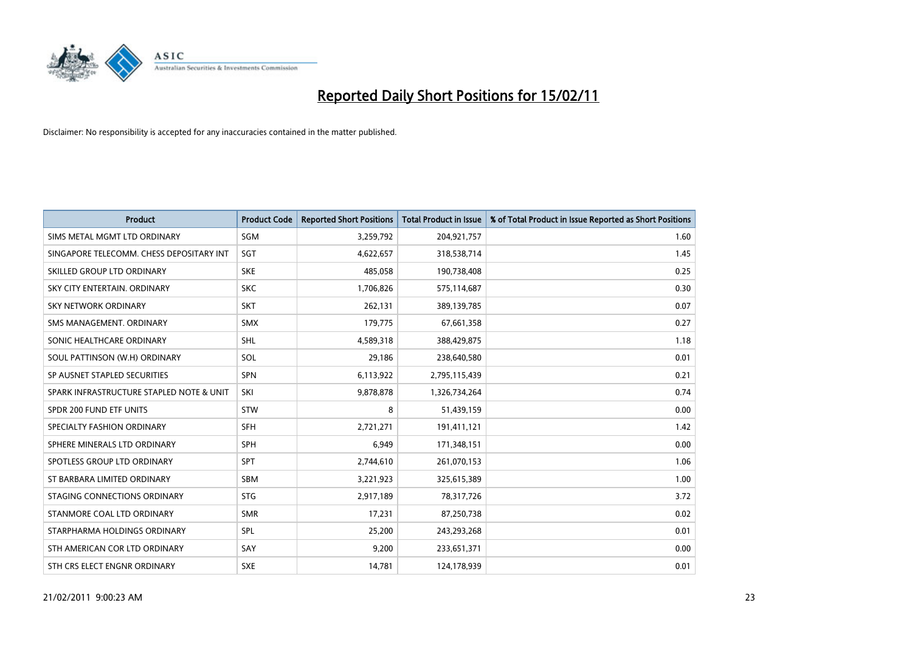

| <b>Product</b>                           | <b>Product Code</b> | <b>Reported Short Positions</b> | <b>Total Product in Issue</b> | % of Total Product in Issue Reported as Short Positions |
|------------------------------------------|---------------------|---------------------------------|-------------------------------|---------------------------------------------------------|
| SIMS METAL MGMT LTD ORDINARY             | <b>SGM</b>          | 3,259,792                       | 204,921,757                   | 1.60                                                    |
| SINGAPORE TELECOMM. CHESS DEPOSITARY INT | SGT                 | 4,622,657                       | 318,538,714                   | 1.45                                                    |
| SKILLED GROUP LTD ORDINARY               | <b>SKE</b>          | 485,058                         | 190,738,408                   | 0.25                                                    |
| SKY CITY ENTERTAIN. ORDINARY             | <b>SKC</b>          | 1,706,826                       | 575,114,687                   | 0.30                                                    |
| <b>SKY NETWORK ORDINARY</b>              | <b>SKT</b>          | 262,131                         | 389,139,785                   | 0.07                                                    |
| SMS MANAGEMENT, ORDINARY                 | <b>SMX</b>          | 179,775                         | 67,661,358                    | 0.27                                                    |
| SONIC HEALTHCARE ORDINARY                | <b>SHL</b>          | 4,589,318                       | 388,429,875                   | 1.18                                                    |
| SOUL PATTINSON (W.H) ORDINARY            | SOL                 | 29,186                          | 238,640,580                   | 0.01                                                    |
| SP AUSNET STAPLED SECURITIES             | <b>SPN</b>          | 6,113,922                       | 2,795,115,439                 | 0.21                                                    |
| SPARK INFRASTRUCTURE STAPLED NOTE & UNIT | SKI                 | 9,878,878                       | 1,326,734,264                 | 0.74                                                    |
| SPDR 200 FUND ETF UNITS                  | <b>STW</b>          | 8                               | 51,439,159                    | 0.00                                                    |
| SPECIALTY FASHION ORDINARY               | <b>SFH</b>          | 2,721,271                       | 191,411,121                   | 1.42                                                    |
| SPHERE MINERALS LTD ORDINARY             | <b>SPH</b>          | 6,949                           | 171,348,151                   | 0.00                                                    |
| SPOTLESS GROUP LTD ORDINARY              | <b>SPT</b>          | 2,744,610                       | 261,070,153                   | 1.06                                                    |
| ST BARBARA LIMITED ORDINARY              | <b>SBM</b>          | 3,221,923                       | 325,615,389                   | 1.00                                                    |
| STAGING CONNECTIONS ORDINARY             | <b>STG</b>          | 2,917,189                       | 78,317,726                    | 3.72                                                    |
| STANMORE COAL LTD ORDINARY               | <b>SMR</b>          | 17,231                          | 87,250,738                    | 0.02                                                    |
| STARPHARMA HOLDINGS ORDINARY             | SPL                 | 25,200                          | 243,293,268                   | 0.01                                                    |
| STH AMERICAN COR LTD ORDINARY            | SAY                 | 9,200                           | 233,651,371                   | 0.00                                                    |
| STH CRS ELECT ENGNR ORDINARY             | <b>SXE</b>          | 14,781                          | 124,178,939                   | 0.01                                                    |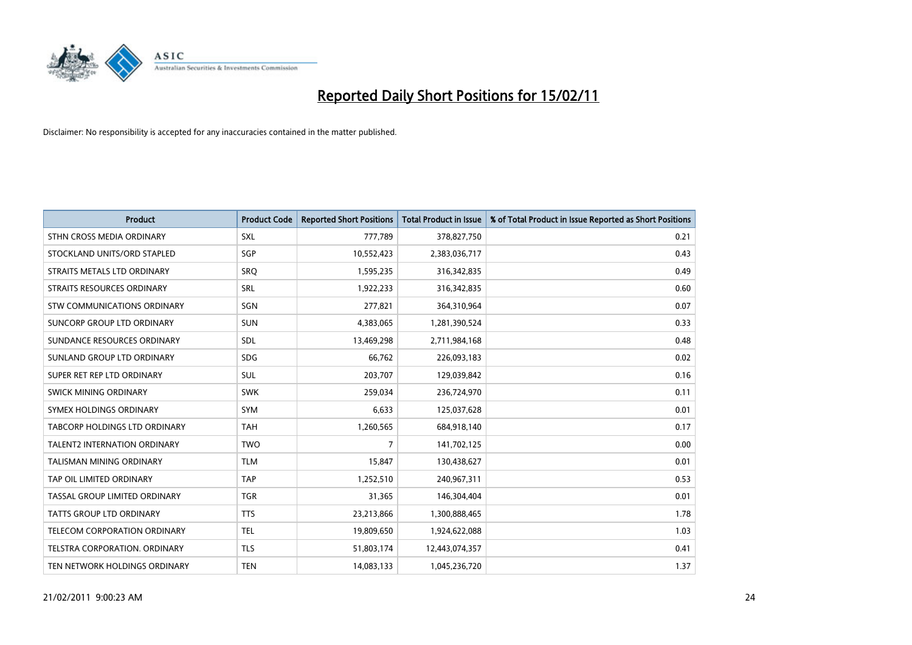

| <b>Product</b>                      | <b>Product Code</b> | <b>Reported Short Positions</b> | <b>Total Product in Issue</b> | % of Total Product in Issue Reported as Short Positions |
|-------------------------------------|---------------------|---------------------------------|-------------------------------|---------------------------------------------------------|
| STHN CROSS MEDIA ORDINARY           | SXL                 | 777,789                         | 378,827,750                   | 0.21                                                    |
| STOCKLAND UNITS/ORD STAPLED         | SGP                 | 10,552,423                      | 2,383,036,717                 | 0.43                                                    |
| STRAITS METALS LTD ORDINARY         | SRO                 | 1,595,235                       | 316,342,835                   | 0.49                                                    |
| STRAITS RESOURCES ORDINARY          | SRL                 | 1,922,233                       | 316,342,835                   | 0.60                                                    |
| <b>STW COMMUNICATIONS ORDINARY</b>  | SGN                 | 277,821                         | 364,310,964                   | 0.07                                                    |
| SUNCORP GROUP LTD ORDINARY          | <b>SUN</b>          | 4,383,065                       | 1,281,390,524                 | 0.33                                                    |
| SUNDANCE RESOURCES ORDINARY         | SDL                 | 13,469,298                      | 2,711,984,168                 | 0.48                                                    |
| SUNLAND GROUP LTD ORDINARY          | <b>SDG</b>          | 66,762                          | 226,093,183                   | 0.02                                                    |
| SUPER RET REP LTD ORDINARY          | SUL                 | 203,707                         | 129,039,842                   | 0.16                                                    |
| SWICK MINING ORDINARY               | <b>SWK</b>          | 259,034                         | 236,724,970                   | 0.11                                                    |
| SYMEX HOLDINGS ORDINARY             | <b>SYM</b>          | 6,633                           | 125,037,628                   | 0.01                                                    |
| TABCORP HOLDINGS LTD ORDINARY       | <b>TAH</b>          | 1,260,565                       | 684,918,140                   | 0.17                                                    |
| <b>TALENT2 INTERNATION ORDINARY</b> | <b>TWO</b>          | 7                               | 141,702,125                   | 0.00                                                    |
| <b>TALISMAN MINING ORDINARY</b>     | <b>TLM</b>          | 15,847                          | 130,438,627                   | 0.01                                                    |
| TAP OIL LIMITED ORDINARY            | <b>TAP</b>          | 1,252,510                       | 240,967,311                   | 0.53                                                    |
| TASSAL GROUP LIMITED ORDINARY       | <b>TGR</b>          | 31,365                          | 146,304,404                   | 0.01                                                    |
| <b>TATTS GROUP LTD ORDINARY</b>     | <b>TTS</b>          | 23,213,866                      | 1,300,888,465                 | 1.78                                                    |
| TELECOM CORPORATION ORDINARY        | <b>TEL</b>          | 19,809,650                      | 1,924,622,088                 | 1.03                                                    |
| TELSTRA CORPORATION, ORDINARY       | <b>TLS</b>          | 51,803,174                      | 12,443,074,357                | 0.41                                                    |
| TEN NETWORK HOLDINGS ORDINARY       | <b>TEN</b>          | 14,083,133                      | 1,045,236,720                 | 1.37                                                    |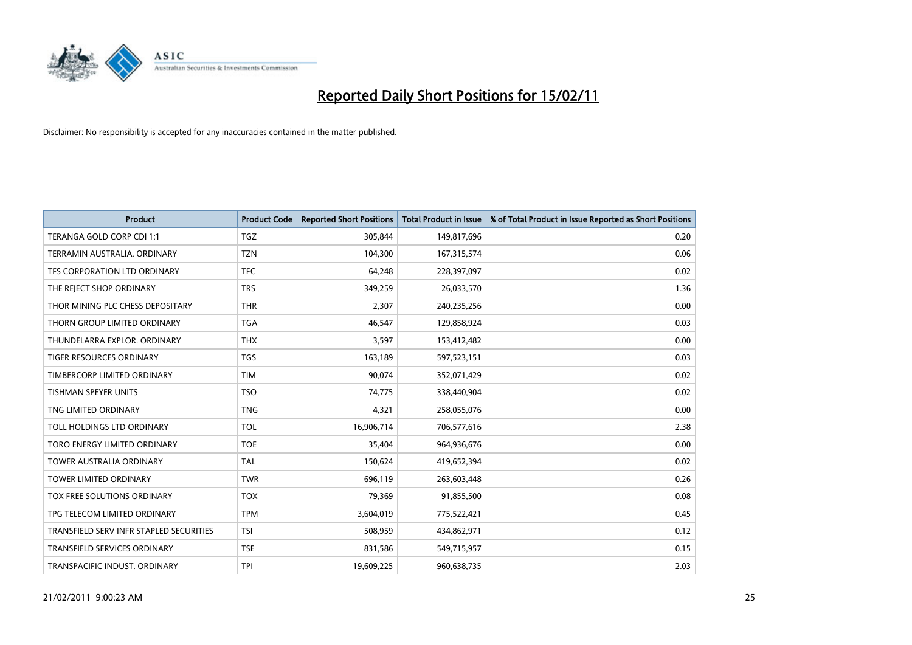

| <b>Product</b>                          | <b>Product Code</b> | <b>Reported Short Positions</b> | <b>Total Product in Issue</b> | % of Total Product in Issue Reported as Short Positions |
|-----------------------------------------|---------------------|---------------------------------|-------------------------------|---------------------------------------------------------|
| TERANGA GOLD CORP CDI 1:1               | TGZ                 | 305,844                         | 149,817,696                   | 0.20                                                    |
| TERRAMIN AUSTRALIA, ORDINARY            | <b>TZN</b>          | 104,300                         | 167,315,574                   | 0.06                                                    |
| TFS CORPORATION LTD ORDINARY            | <b>TFC</b>          | 64,248                          | 228,397,097                   | 0.02                                                    |
| THE REJECT SHOP ORDINARY                | <b>TRS</b>          | 349,259                         | 26,033,570                    | 1.36                                                    |
| THOR MINING PLC CHESS DEPOSITARY        | <b>THR</b>          | 2,307                           | 240,235,256                   | 0.00                                                    |
| THORN GROUP LIMITED ORDINARY            | <b>TGA</b>          | 46,547                          | 129,858,924                   | 0.03                                                    |
| THUNDELARRA EXPLOR, ORDINARY            | <b>THX</b>          | 3,597                           | 153,412,482                   | 0.00                                                    |
| <b>TIGER RESOURCES ORDINARY</b>         | <b>TGS</b>          | 163,189                         | 597,523,151                   | 0.03                                                    |
| TIMBERCORP LIMITED ORDINARY             | <b>TIM</b>          | 90,074                          | 352,071,429                   | 0.02                                                    |
| <b>TISHMAN SPEYER UNITS</b>             | <b>TSO</b>          | 74,775                          | 338,440,904                   | 0.02                                                    |
| TNG LIMITED ORDINARY                    | <b>TNG</b>          | 4,321                           | 258,055,076                   | 0.00                                                    |
| TOLL HOLDINGS LTD ORDINARY              | <b>TOL</b>          | 16,906,714                      | 706,577,616                   | 2.38                                                    |
| TORO ENERGY LIMITED ORDINARY            | <b>TOE</b>          | 35,404                          | 964,936,676                   | 0.00                                                    |
| <b>TOWER AUSTRALIA ORDINARY</b>         | <b>TAL</b>          | 150,624                         | 419,652,394                   | 0.02                                                    |
| TOWER LIMITED ORDINARY                  | <b>TWR</b>          | 696,119                         | 263,603,448                   | 0.26                                                    |
| TOX FREE SOLUTIONS ORDINARY             | <b>TOX</b>          | 79,369                          | 91,855,500                    | 0.08                                                    |
| TPG TELECOM LIMITED ORDINARY            | <b>TPM</b>          | 3,604,019                       | 775,522,421                   | 0.45                                                    |
| TRANSFIELD SERV INFR STAPLED SECURITIES | <b>TSI</b>          | 508,959                         | 434,862,971                   | 0.12                                                    |
| <b>TRANSFIELD SERVICES ORDINARY</b>     | <b>TSE</b>          | 831,586                         | 549,715,957                   | 0.15                                                    |
| TRANSPACIFIC INDUST, ORDINARY           | <b>TPI</b>          | 19,609,225                      | 960,638,735                   | 2.03                                                    |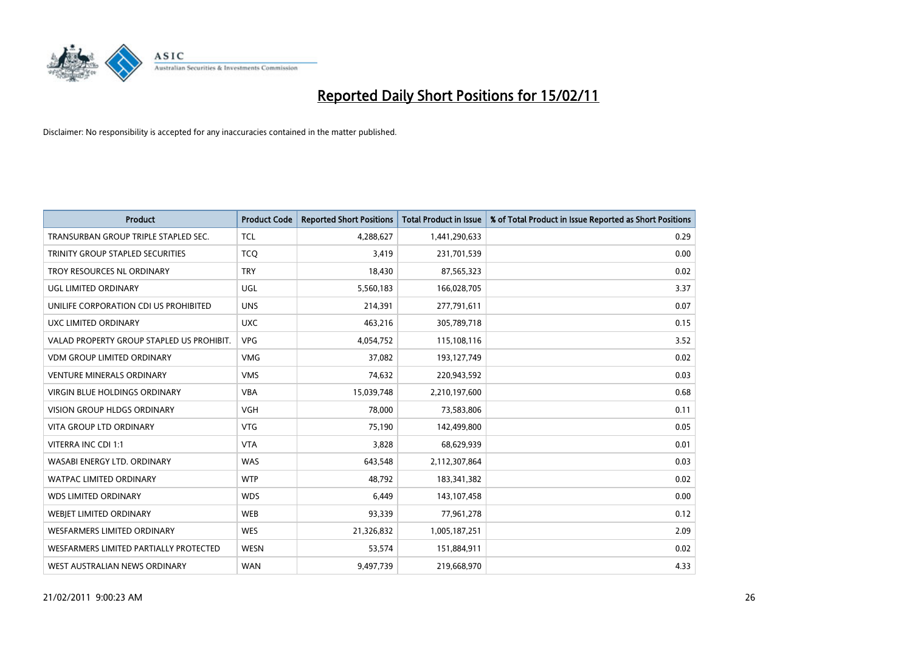

| <b>Product</b>                            | <b>Product Code</b> | <b>Reported Short Positions</b> | <b>Total Product in Issue</b> | % of Total Product in Issue Reported as Short Positions |
|-------------------------------------------|---------------------|---------------------------------|-------------------------------|---------------------------------------------------------|
| TRANSURBAN GROUP TRIPLE STAPLED SEC.      | <b>TCL</b>          | 4,288,627                       | 1,441,290,633                 | 0.29                                                    |
| TRINITY GROUP STAPLED SECURITIES          | <b>TCO</b>          | 3,419                           | 231,701,539                   | 0.00                                                    |
| TROY RESOURCES NL ORDINARY                | <b>TRY</b>          | 18,430                          | 87,565,323                    | 0.02                                                    |
| UGL LIMITED ORDINARY                      | <b>UGL</b>          | 5,560,183                       | 166,028,705                   | 3.37                                                    |
| UNILIFE CORPORATION CDI US PROHIBITED     | <b>UNS</b>          | 214,391                         | 277,791,611                   | 0.07                                                    |
| UXC LIMITED ORDINARY                      | <b>UXC</b>          | 463,216                         | 305,789,718                   | 0.15                                                    |
| VALAD PROPERTY GROUP STAPLED US PROHIBIT. | <b>VPG</b>          | 4,054,752                       | 115,108,116                   | 3.52                                                    |
| <b>VDM GROUP LIMITED ORDINARY</b>         | <b>VMG</b>          | 37,082                          | 193,127,749                   | 0.02                                                    |
| <b>VENTURE MINERALS ORDINARY</b>          | <b>VMS</b>          | 74,632                          | 220,943,592                   | 0.03                                                    |
| VIRGIN BLUE HOLDINGS ORDINARY             | <b>VBA</b>          | 15,039,748                      | 2,210,197,600                 | 0.68                                                    |
| <b>VISION GROUP HLDGS ORDINARY</b>        | <b>VGH</b>          | 78,000                          | 73,583,806                    | 0.11                                                    |
| <b>VITA GROUP LTD ORDINARY</b>            | <b>VTG</b>          | 75,190                          | 142,499,800                   | 0.05                                                    |
| <b>VITERRA INC CDI 1:1</b>                | <b>VTA</b>          | 3,828                           | 68,629,939                    | 0.01                                                    |
| WASABI ENERGY LTD. ORDINARY               | <b>WAS</b>          | 643,548                         | 2,112,307,864                 | 0.03                                                    |
| <b>WATPAC LIMITED ORDINARY</b>            | <b>WTP</b>          | 48,792                          | 183,341,382                   | 0.02                                                    |
| <b>WDS LIMITED ORDINARY</b>               | <b>WDS</b>          | 6.449                           | 143,107,458                   | 0.00                                                    |
| WEBIET LIMITED ORDINARY                   | <b>WEB</b>          | 93,339                          | 77,961,278                    | 0.12                                                    |
| WESFARMERS LIMITED ORDINARY               | <b>WES</b>          | 21,326,832                      | 1,005,187,251                 | 2.09                                                    |
| WESFARMERS LIMITED PARTIALLY PROTECTED    | <b>WESN</b>         | 53,574                          | 151,884,911                   | 0.02                                                    |
| WEST AUSTRALIAN NEWS ORDINARY             | <b>WAN</b>          | 9,497,739                       | 219,668,970                   | 4.33                                                    |